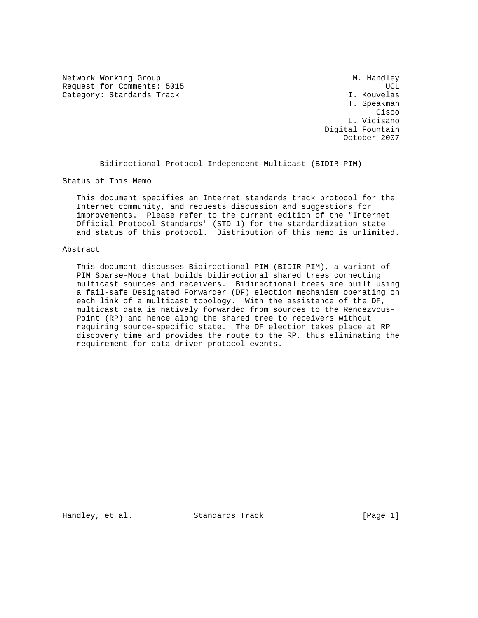Network Working Group Methods and Muslim Muslim Muslim Muslim Muslim Muslim Muslim Muslim Muslim Muslim Muslim Request for Comments: 5015 UCL Category: Standards Track

 T. Speakman **Cisco de la contrata de la contrata de la contrata de la contrata de la contrata de la contrata de la contrat**  L. Vicisano Digital Fountain October 2007

Bidirectional Protocol Independent Multicast (BIDIR-PIM)

Status of This Memo

 This document specifies an Internet standards track protocol for the Internet community, and requests discussion and suggestions for improvements. Please refer to the current edition of the "Internet Official Protocol Standards" (STD 1) for the standardization state and status of this protocol. Distribution of this memo is unlimited.

### Abstract

 This document discusses Bidirectional PIM (BIDIR-PIM), a variant of PIM Sparse-Mode that builds bidirectional shared trees connecting multicast sources and receivers. Bidirectional trees are built using a fail-safe Designated Forwarder (DF) election mechanism operating on each link of a multicast topology. With the assistance of the DF, multicast data is natively forwarded from sources to the Rendezvous- Point (RP) and hence along the shared tree to receivers without requiring source-specific state. The DF election takes place at RP discovery time and provides the route to the RP, thus eliminating the requirement for data-driven protocol events.

Handley, et al. Standards Track [Page 1]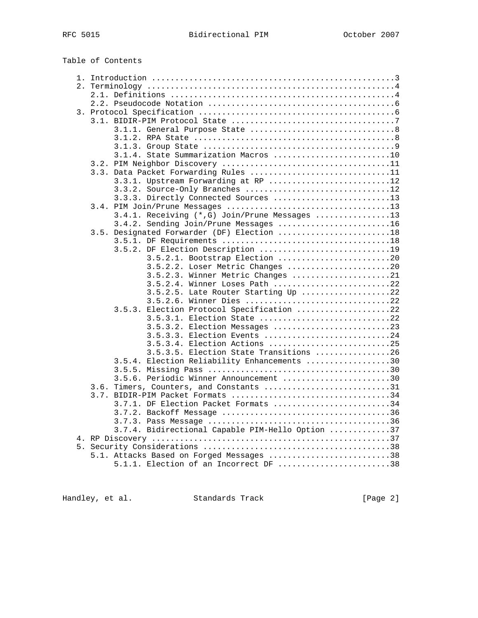|    | Table of Contents                                                  |
|----|--------------------------------------------------------------------|
|    |                                                                    |
|    |                                                                    |
|    |                                                                    |
|    |                                                                    |
|    |                                                                    |
|    |                                                                    |
|    |                                                                    |
|    |                                                                    |
|    |                                                                    |
|    | 3.1.4. State Summarization Macros 10                               |
|    |                                                                    |
|    | 3.3. Data Packet Forwarding Rules 11                               |
|    | 3.3.1. Upstream Forwarding at RP 12                                |
|    | 3.3.2. Source-Only Branches 12                                     |
|    | 3.3.3. Directly Connected Sources 13                               |
|    |                                                                    |
|    | 3.4.1. Receiving (*,G) Join/Prune Messages 13                      |
|    | 3.4.2. Sending Join/Prune Messages 16                              |
|    | 3.5. Designated Forwarder (DF) Election 18                         |
|    |                                                                    |
|    | 3.5.2. DF Election Description 19                                  |
|    | 3.5.2.1. Bootstrap Election 20<br>3.5.2.2. Loser Metric Changes 20 |
|    | 3.5.2.3. Winner Metric Changes 21                                  |
|    | 3.5.2.4. Winner Loses Path 22                                      |
|    | 3.5.2.5. Late Router Starting Up 22                                |
|    | 3.5.2.6. Winner Dies 22                                            |
|    | 3.5.3. Election Protocol Specification 22                          |
|    | 3.5.3.1. Election State 22                                         |
|    | 3.5.3.2. Election Messages 23                                      |
|    | 3.5.3.3. Election Events 24                                        |
|    | 3.5.3.4. Election Actions 25                                       |
|    | 3.5.3.5. Election State Transitions 26                             |
|    | 3.5.4. Election Reliability Enhancements 30                        |
|    |                                                                    |
|    | 3.5.6. Periodic Winner Announcement 30                             |
|    | Timers, Counters, and Constants 31<br>3.6.                         |
|    |                                                                    |
|    | 3.7.1. DF Election Packet Formats 34                               |
|    |                                                                    |
|    |                                                                    |
|    | 3.7.4. Bidirectional Capable PIM-Hello Option 37                   |
|    |                                                                    |
| 5. |                                                                    |
|    | 5.1. Attacks Based on Forged Messages 38                           |
|    | $5.1.1.$ Election of an Incorrect DF 38                            |

Handley, et al. Standards Track [Page 2]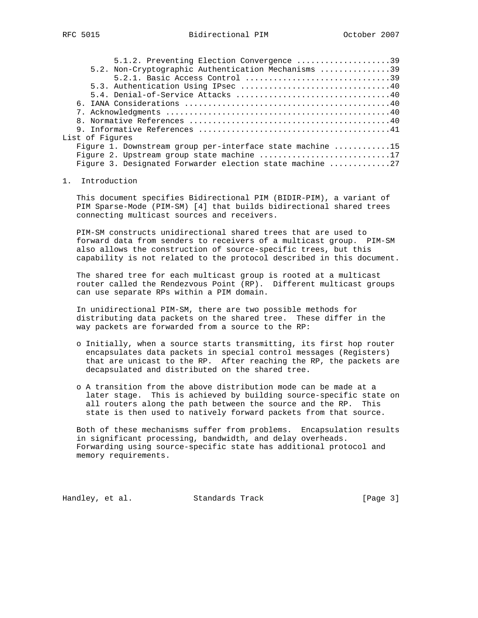| 5.1.2. Preventing Election Convergence 39                 |  |
|-----------------------------------------------------------|--|
| 5.2. Non-Cryptographic Authentication Mechanisms 39       |  |
| 5.2.1. Basic Access Control 39                            |  |
|                                                           |  |
|                                                           |  |
|                                                           |  |
|                                                           |  |
|                                                           |  |
|                                                           |  |
| List of Figures                                           |  |
| Figure 1. Downstream group per-interface state machine 15 |  |
| Figure 2. Upstream group state machine 17                 |  |
| Figure 3. Designated Forwarder election state machine 27  |  |

### 1. Introduction

 This document specifies Bidirectional PIM (BIDIR-PIM), a variant of PIM Sparse-Mode (PIM-SM) [4] that builds bidirectional shared trees connecting multicast sources and receivers.

 PIM-SM constructs unidirectional shared trees that are used to forward data from senders to receivers of a multicast group. PIM-SM also allows the construction of source-specific trees, but this capability is not related to the protocol described in this document.

 The shared tree for each multicast group is rooted at a multicast router called the Rendezvous Point (RP). Different multicast groups can use separate RPs within a PIM domain.

 In unidirectional PIM-SM, there are two possible methods for distributing data packets on the shared tree. These differ in the way packets are forwarded from a source to the RP:

- o Initially, when a source starts transmitting, its first hop router encapsulates data packets in special control messages (Registers) that are unicast to the RP. After reaching the RP, the packets are decapsulated and distributed on the shared tree.
- o A transition from the above distribution mode can be made at a later stage. This is achieved by building source-specific state on all routers along the path between the source and the RP. This state is then used to natively forward packets from that source.

 Both of these mechanisms suffer from problems. Encapsulation results in significant processing, bandwidth, and delay overheads. Forwarding using source-specific state has additional protocol and memory requirements.

Handley, et al. Standards Track [Page 3]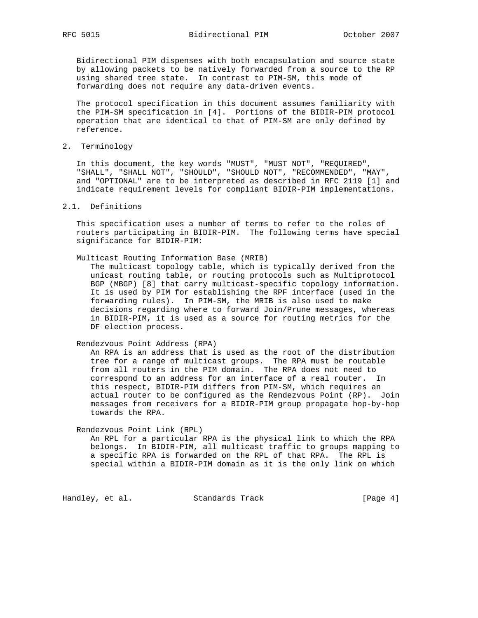Bidirectional PIM dispenses with both encapsulation and source state by allowing packets to be natively forwarded from a source to the RP using shared tree state. In contrast to PIM-SM, this mode of forwarding does not require any data-driven events.

 The protocol specification in this document assumes familiarity with the PIM-SM specification in [4]. Portions of the BIDIR-PIM protocol operation that are identical to that of PIM-SM are only defined by reference.

2. Terminology

 In this document, the key words "MUST", "MUST NOT", "REQUIRED", "SHALL", "SHALL NOT", "SHOULD", "SHOULD NOT", "RECOMMENDED", "MAY", and "OPTIONAL" are to be interpreted as described in RFC 2119 [1] and indicate requirement levels for compliant BIDIR-PIM implementations.

### 2.1. Definitions

 This specification uses a number of terms to refer to the roles of routers participating in BIDIR-PIM. The following terms have special significance for BIDIR-PIM:

Multicast Routing Information Base (MRIB)

 The multicast topology table, which is typically derived from the unicast routing table, or routing protocols such as Multiprotocol BGP (MBGP) [8] that carry multicast-specific topology information. It is used by PIM for establishing the RPF interface (used in the forwarding rules). In PIM-SM, the MRIB is also used to make decisions regarding where to forward Join/Prune messages, whereas in BIDIR-PIM, it is used as a source for routing metrics for the DF election process.

### Rendezvous Point Address (RPA)

 An RPA is an address that is used as the root of the distribution tree for a range of multicast groups. The RPA must be routable from all routers in the PIM domain. The RPA does not need to correspond to an address for an interface of a real router. In this respect, BIDIR-PIM differs from PIM-SM, which requires an actual router to be configured as the Rendezvous Point (RP). Join messages from receivers for a BIDIR-PIM group propagate hop-by-hop towards the RPA.

Rendezvous Point Link (RPL)

 An RPL for a particular RPA is the physical link to which the RPA belongs. In BIDIR-PIM, all multicast traffic to groups mapping to a specific RPA is forwarded on the RPL of that RPA. The RPL is special within a BIDIR-PIM domain as it is the only link on which

Handley, et al. Standards Track [Page 4]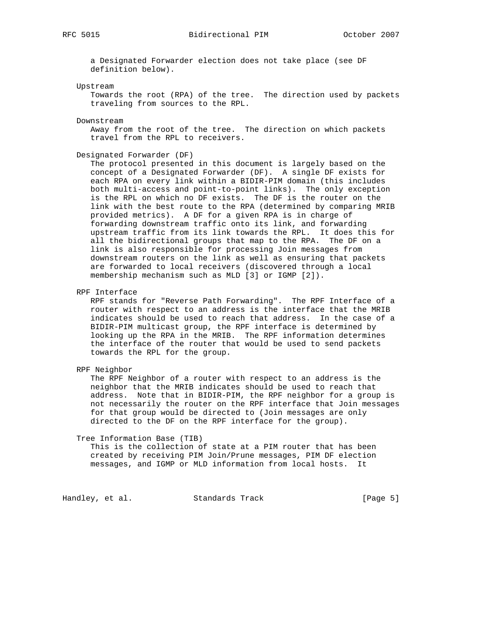RFC 5015 Bidirectional PIM October 2007

 a Designated Forwarder election does not take place (see DF definition below).

#### Upstream

 Towards the root (RPA) of the tree. The direction used by packets traveling from sources to the RPL.

#### Downstream

 Away from the root of the tree. The direction on which packets travel from the RPL to receivers.

#### Designated Forwarder (DF)

 The protocol presented in this document is largely based on the concept of a Designated Forwarder (DF). A single DF exists for each RPA on every link within a BIDIR-PIM domain (this includes both multi-access and point-to-point links). The only exception is the RPL on which no DF exists. The DF is the router on the link with the best route to the RPA (determined by comparing MRIB provided metrics). A DF for a given RPA is in charge of forwarding downstream traffic onto its link, and forwarding upstream traffic from its link towards the RPL. It does this for all the bidirectional groups that map to the RPA. The DF on a link is also responsible for processing Join messages from downstream routers on the link as well as ensuring that packets are forwarded to local receivers (discovered through a local membership mechanism such as MLD [3] or IGMP [2]).

RPF Interface

 RPF stands for "Reverse Path Forwarding". The RPF Interface of a router with respect to an address is the interface that the MRIB indicates should be used to reach that address. In the case of a BIDIR-PIM multicast group, the RPF interface is determined by looking up the RPA in the MRIB. The RPF information determines the interface of the router that would be used to send packets towards the RPL for the group.

RPF Neighbor

 The RPF Neighbor of a router with respect to an address is the neighbor that the MRIB indicates should be used to reach that address. Note that in BIDIR-PIM, the RPF neighbor for a group is not necessarily the router on the RPF interface that Join messages for that group would be directed to (Join messages are only directed to the DF on the RPF interface for the group).

#### Tree Information Base (TIB)

 This is the collection of state at a PIM router that has been created by receiving PIM Join/Prune messages, PIM DF election messages, and IGMP or MLD information from local hosts. It

Handley, et al. Standards Track [Page 5]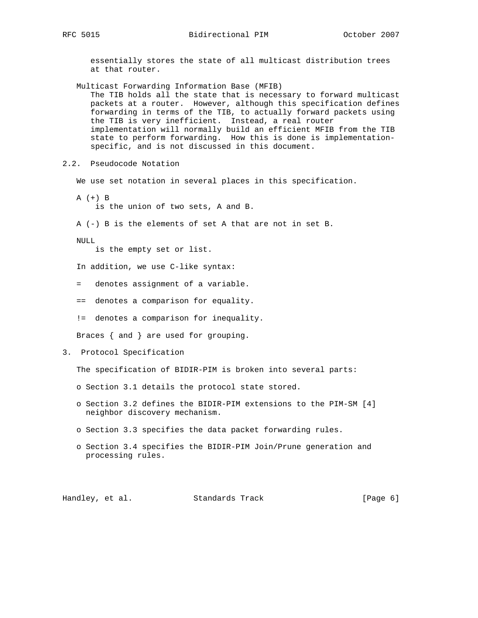essentially stores the state of all multicast distribution trees at that router.

 Multicast Forwarding Information Base (MFIB) The TIB holds all the state that is necessary to forward multicast packets at a router. However, although this specification defines forwarding in terms of the TIB, to actually forward packets using the TIB is very inefficient. Instead, a real router implementation will normally build an efficient MFIB from the TIB state to perform forwarding. How this is done is implementation specific, and is not discussed in this document.

2.2. Pseudocode Notation

We use set notation in several places in this specification.

 A (+) B is the union of two sets, A and B.

A (-) B is the elements of set A that are not in set B.

NULL

is the empty set or list.

In addition, we use C-like syntax:

- = denotes assignment of a variable.
- == denotes a comparison for equality.
- != denotes a comparison for inequality.

Braces { and } are used for grouping.

3. Protocol Specification

The specification of BIDIR-PIM is broken into several parts:

- o Section 3.1 details the protocol state stored.
- o Section 3.2 defines the BIDIR-PIM extensions to the PIM-SM [4] neighbor discovery mechanism.
- o Section 3.3 specifies the data packet forwarding rules.
- o Section 3.4 specifies the BIDIR-PIM Join/Prune generation and processing rules.

Handley, et al. Standards Track [Page 6]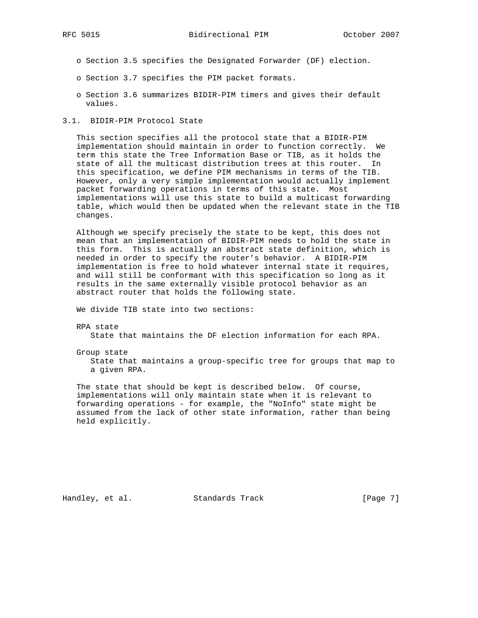- o Section 3.5 specifies the Designated Forwarder (DF) election.
- o Section 3.7 specifies the PIM packet formats.
- o Section 3.6 summarizes BIDIR-PIM timers and gives their default values.
- 3.1. BIDIR-PIM Protocol State

 This section specifies all the protocol state that a BIDIR-PIM implementation should maintain in order to function correctly. We term this state the Tree Information Base or TIB, as it holds the state of all the multicast distribution trees at this router. In this specification, we define PIM mechanisms in terms of the TIB. However, only a very simple implementation would actually implement packet forwarding operations in terms of this state. Most implementations will use this state to build a multicast forwarding table, which would then be updated when the relevant state in the TIB changes.

 Although we specify precisely the state to be kept, this does not mean that an implementation of BIDIR-PIM needs to hold the state in this form. This is actually an abstract state definition, which is needed in order to specify the router's behavior. A BIDIR-PIM implementation is free to hold whatever internal state it requires, and will still be conformant with this specification so long as it results in the same externally visible protocol behavior as an abstract router that holds the following state.

We divide TIB state into two sections:

RPA state

State that maintains the DF election information for each RPA.

Group state

 State that maintains a group-specific tree for groups that map to a given RPA.

 The state that should be kept is described below. Of course, implementations will only maintain state when it is relevant to forwarding operations - for example, the "NoInfo" state might be assumed from the lack of other state information, rather than being held explicitly.

Handley, et al. Standards Track [Page 7]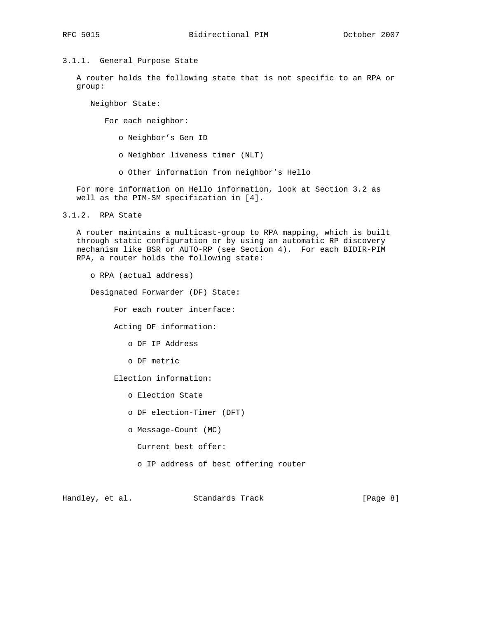# 3.1.1. General Purpose State

 A router holds the following state that is not specific to an RPA or group:

Neighbor State:

For each neighbor:

o Neighbor's Gen ID

- o Neighbor liveness timer (NLT)
- o Other information from neighbor's Hello

 For more information on Hello information, look at Section 3.2 as well as the PIM-SM specification in [4].

3.1.2. RPA State

 A router maintains a multicast-group to RPA mapping, which is built through static configuration or by using an automatic RP discovery mechanism like BSR or AUTO-RP (see Section 4). For each BIDIR-PIM RPA, a router holds the following state:

o RPA (actual address)

Designated Forwarder (DF) State:

For each router interface:

Acting DF information:

o DF IP Address

o DF metric

Election information:

- o Election State
- o DF election-Timer (DFT)
- o Message-Count (MC)
	- Current best offer:
	- o IP address of best offering router

Handley, et al. Standards Track [Page 8]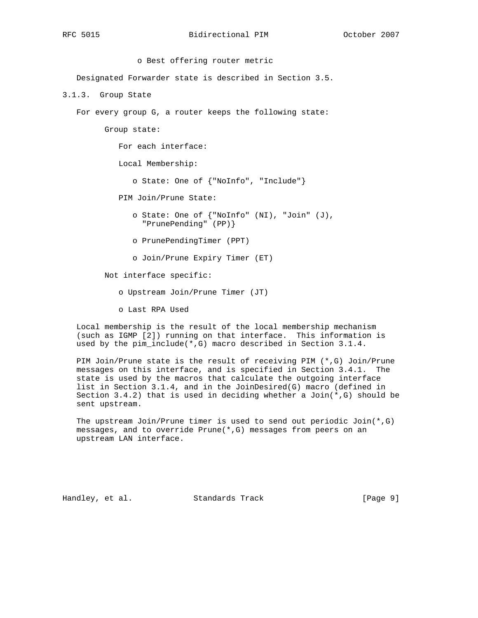o Best offering router metric Designated Forwarder state is described in Section 3.5. 3.1.3. Group State For every group G, a router keeps the following state: Group state: For each interface: Local Membership: o State: One of {"NoInfo", "Include"} PIM Join/Prune State: o State: One of {"NoInfo" (NI), "Join" (J), "PrunePending" (PP)} o PrunePendingTimer (PPT) o Join/Prune Expiry Timer (ET) Not interface specific:

o Upstream Join/Prune Timer (JT)

o Last RPA Used

 Local membership is the result of the local membership mechanism (such as IGMP [2]) running on that interface. This information is used by the pim\_include(\*,G) macro described in Section 3.1.4.

 PIM Join/Prune state is the result of receiving PIM (\*,G) Join/Prune messages on this interface, and is specified in Section 3.4.1. The state is used by the macros that calculate the outgoing interface list in Section 3.1.4, and in the JoinDesired(G) macro (defined in Section 3.4.2) that is used in deciding whether a  $Join(*,G)$  should be sent upstream.

 The upstream Join/Prune timer is used to send out periodic Join(\*,G) messages, and to override Prune(\*,G) messages from peers on an upstream LAN interface.

Handley, et al. Standards Track [Page 9]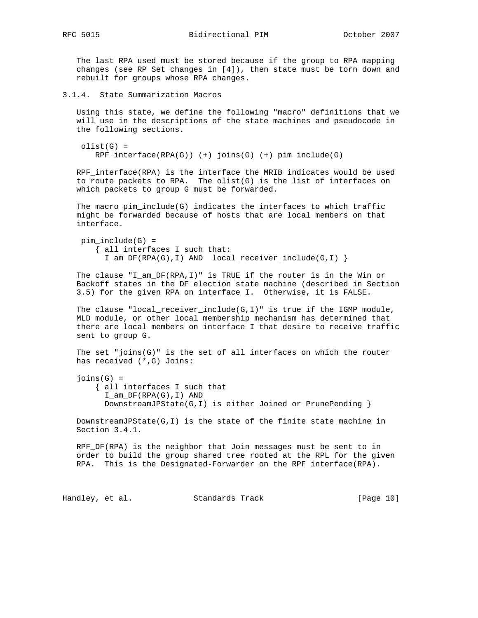The last RPA used must be stored because if the group to RPA mapping changes (see RP Set changes in [4]), then state must be torn down and rebuilt for groups whose RPA changes.

3.1.4. State Summarization Macros

 Using this state, we define the following "macro" definitions that we will use in the descriptions of the state machines and pseudocode in the following sections.

```
olist(G) = RPF_interface(RPA(G)) (+) joins(G) (+) pim_include(G)
```
 RPF\_interface(RPA) is the interface the MRIB indicates would be used to route packets to RPA. The olist(G) is the list of interfaces on which packets to group G must be forwarded.

 The macro pim\_include(G) indicates the interfaces to which traffic might be forwarded because of hosts that are local members on that interface.

pim include(G) = { all interfaces I such that: I\_am\_DF(RPA(G),I) AND local\_receiver\_include(G,I) }

 The clause "I\_am\_DF(RPA,I)" is TRUE if the router is in the Win or Backoff states in the DF election state machine (described in Section 3.5) for the given RPA on interface I. Otherwise, it is FALSE.

The clause "local\_receiver\_include( $G, I$ )" is true if the IGMP module, MLD module, or other local membership mechanism has determined that there are local members on interface I that desire to receive traffic sent to group G.

 The set "joins(G)" is the set of all interfaces on which the router has received (\*,G) Joins:

 $joins(G) =$  { all interfaces I such that I\_am\_DF(RPA(G),I) AND DownstreamJPState(G,I) is either Joined or PrunePending }

 DownstreamJPState(G,I) is the state of the finite state machine in Section 3.4.1.

 RPF\_DF(RPA) is the neighbor that Join messages must be sent to in order to build the group shared tree rooted at the RPL for the given RPA. This is the Designated-Forwarder on the RPF\_interface(RPA).

Handley, et al. Standards Track [Page 10]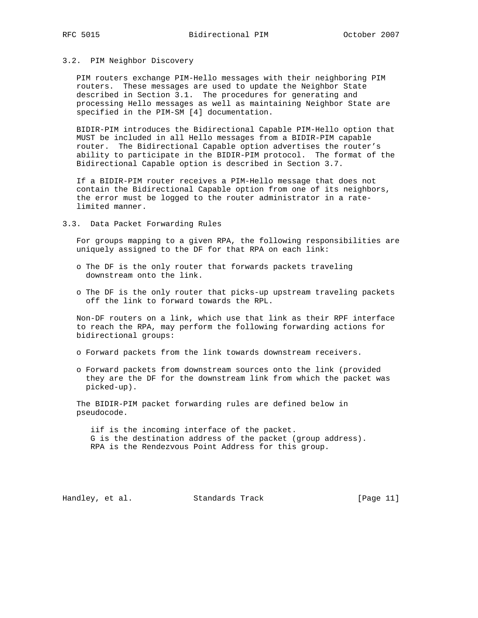### 3.2. PIM Neighbor Discovery

 PIM routers exchange PIM-Hello messages with their neighboring PIM routers. These messages are used to update the Neighbor State described in Section 3.1. The procedures for generating and processing Hello messages as well as maintaining Neighbor State are specified in the PIM-SM [4] documentation.

 BIDIR-PIM introduces the Bidirectional Capable PIM-Hello option that MUST be included in all Hello messages from a BIDIR-PIM capable router. The Bidirectional Capable option advertises the router's ability to participate in the BIDIR-PIM protocol. The format of the Bidirectional Capable option is described in Section 3.7.

 If a BIDIR-PIM router receives a PIM-Hello message that does not contain the Bidirectional Capable option from one of its neighbors, the error must be logged to the router administrator in a rate limited manner.

3.3. Data Packet Forwarding Rules

 For groups mapping to a given RPA, the following responsibilities are uniquely assigned to the DF for that RPA on each link:

- o The DF is the only router that forwards packets traveling downstream onto the link.
- o The DF is the only router that picks-up upstream traveling packets off the link to forward towards the RPL.

 Non-DF routers on a link, which use that link as their RPF interface to reach the RPA, may perform the following forwarding actions for bidirectional groups:

- o Forward packets from the link towards downstream receivers.
- o Forward packets from downstream sources onto the link (provided they are the DF for the downstream link from which the packet was picked-up).

 The BIDIR-PIM packet forwarding rules are defined below in pseudocode.

 iif is the incoming interface of the packet. G is the destination address of the packet (group address). RPA is the Rendezvous Point Address for this group.

Handley, et al. Standards Track [Page 11]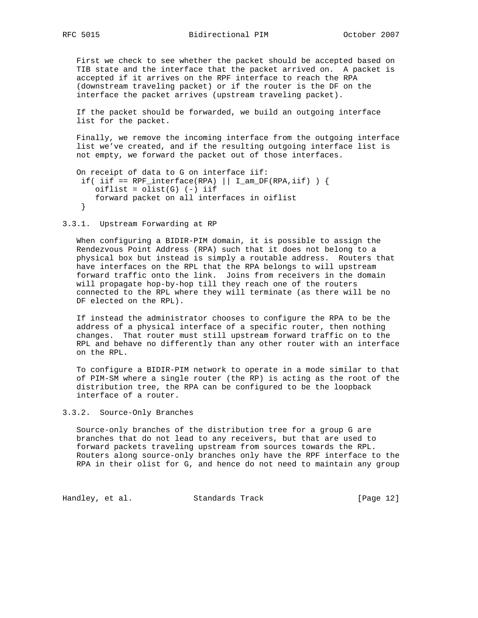First we check to see whether the packet should be accepted based on TIB state and the interface that the packet arrived on. A packet is accepted if it arrives on the RPF interface to reach the RPA (downstream traveling packet) or if the router is the DF on the interface the packet arrives (upstream traveling packet).

 If the packet should be forwarded, we build an outgoing interface list for the packet.

 Finally, we remove the incoming interface from the outgoing interface list we've created, and if the resulting outgoing interface list is not empty, we forward the packet out of those interfaces.

```
 On receipt of data to G on interface iif:
if( iif == RPF_interface(RPA) || I_am_DF(RPA,iif) ) {
   oiflist = olist(G) (-) iif
   forward packet on all interfaces in oiflist
 }
```
3.3.1. Upstream Forwarding at RP

 When configuring a BIDIR-PIM domain, it is possible to assign the Rendezvous Point Address (RPA) such that it does not belong to a physical box but instead is simply a routable address. Routers that have interfaces on the RPL that the RPA belongs to will upstream forward traffic onto the link. Joins from receivers in the domain will propagate hop-by-hop till they reach one of the routers connected to the RPL where they will terminate (as there will be no DF elected on the RPL).

 If instead the administrator chooses to configure the RPA to be the address of a physical interface of a specific router, then nothing changes. That router must still upstream forward traffic on to the RPL and behave no differently than any other router with an interface on the RPL.

 To configure a BIDIR-PIM network to operate in a mode similar to that of PIM-SM where a single router (the RP) is acting as the root of the distribution tree, the RPA can be configured to be the loopback interface of a router.

3.3.2. Source-Only Branches

 Source-only branches of the distribution tree for a group G are branches that do not lead to any receivers, but that are used to forward packets traveling upstream from sources towards the RPL. Routers along source-only branches only have the RPF interface to the RPA in their olist for G, and hence do not need to maintain any group

Handley, et al. Standards Track [Page 12]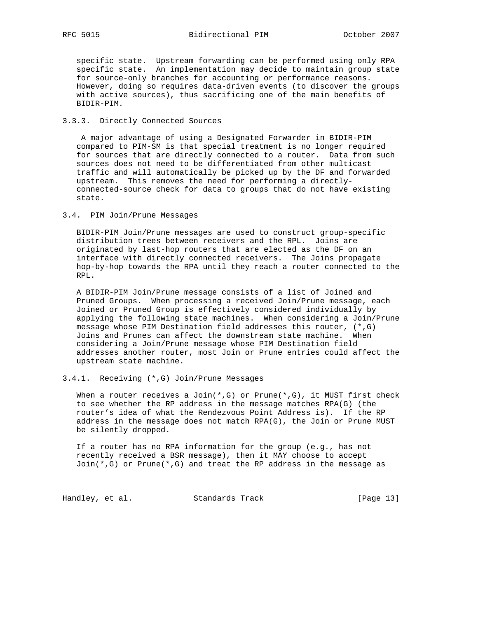specific state. Upstream forwarding can be performed using only RPA specific state. An implementation may decide to maintain group state for source-only branches for accounting or performance reasons. However, doing so requires data-driven events (to discover the groups with active sources), thus sacrificing one of the main benefits of BIDIR-PIM.

## 3.3.3. Directly Connected Sources

 A major advantage of using a Designated Forwarder in BIDIR-PIM compared to PIM-SM is that special treatment is no longer required for sources that are directly connected to a router. Data from such sources does not need to be differentiated from other multicast traffic and will automatically be picked up by the DF and forwarded upstream. This removes the need for performing a directly connected-source check for data to groups that do not have existing state.

## 3.4. PIM Join/Prune Messages

 BIDIR-PIM Join/Prune messages are used to construct group-specific distribution trees between receivers and the RPL. Joins are originated by last-hop routers that are elected as the DF on an interface with directly connected receivers. The Joins propagate hop-by-hop towards the RPA until they reach a router connected to the RPL.

 A BIDIR-PIM Join/Prune message consists of a list of Joined and Pruned Groups. When processing a received Join/Prune message, each Joined or Pruned Group is effectively considered individually by applying the following state machines. When considering a Join/Prune message whose PIM Destination field addresses this router, (\*,G) Joins and Prunes can affect the downstream state machine. When considering a Join/Prune message whose PIM Destination field addresses another router, most Join or Prune entries could affect the upstream state machine.

## 3.4.1. Receiving (\*,G) Join/Prune Messages

When a router receives a Join( $*,G$ ) or Prune( $*,G$ ), it MUST first check to see whether the RP address in the message matches RPA(G) (the router's idea of what the Rendezvous Point Address is). If the RP address in the message does not match RPA(G), the Join or Prune MUST be silently dropped.

 If a router has no RPA information for the group (e.g., has not recently received a BSR message), then it MAY choose to accept  $Join(*,G)$  or Prune $(*,G)$  and treat the RP address in the message as

Handley, et al. Standards Track [Page 13]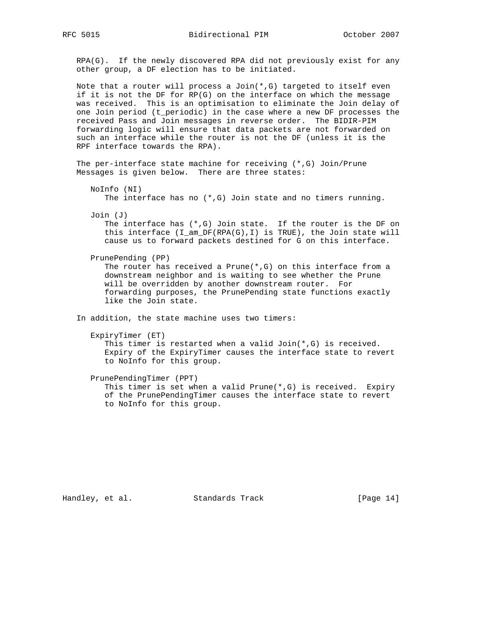RPA(G). If the newly discovered RPA did not previously exist for any other group, a DF election has to be initiated.

Note that a router will process a Join $(*$ , G) targeted to itself even if it is not the DF for RP(G) on the interface on which the message was received. This is an optimisation to eliminate the Join delay of one Join period (t\_periodic) in the case where a new DF processes the received Pass and Join messages in reverse order. The BIDIR-PIM forwarding logic will ensure that data packets are not forwarded on such an interface while the router is not the DF (unless it is the RPF interface towards the RPA).

 The per-interface state machine for receiving (\*,G) Join/Prune Messages is given below. There are three states:

 NoInfo (NI) The interface has no (\*,G) Join state and no timers running.

Join (J)

The interface has  $(*$ , G) Join state. If the router is the DF on this interface (I\_am\_DF(RPA(G),I) is TRUE), the Join state will cause us to forward packets destined for G on this interface.

PrunePending (PP)

 The router has received a Prune(\*,G) on this interface from a downstream neighbor and is waiting to see whether the Prune will be overridden by another downstream router. For forwarding purposes, the PrunePending state functions exactly like the Join state.

In addition, the state machine uses two timers:

```
 ExpiryTimer (ET)
```
 This timer is restarted when a valid Join(\*,G) is received. Expiry of the ExpiryTimer causes the interface state to revert to NoInfo for this group.

 PrunePendingTimer (PPT) This timer is set when a valid Prune( $*, G$ ) is received. Expiry of the PrunePendingTimer causes the interface state to revert to NoInfo for this group.

Handley, et al. Standards Track [Page 14]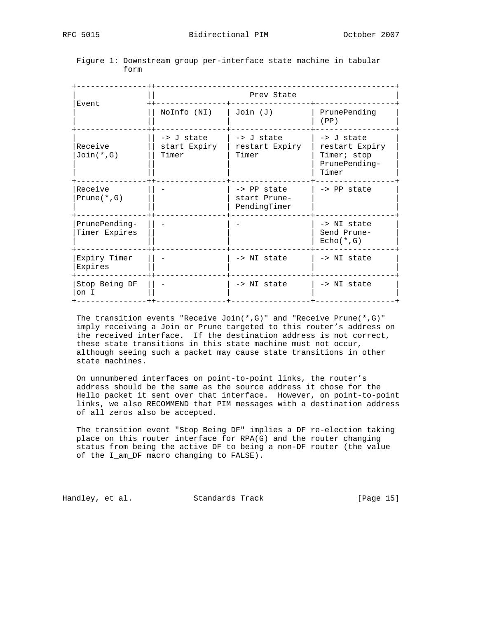| Event                          | Prev State                          |                                                  |                                                                       |
|--------------------------------|-------------------------------------|--------------------------------------------------|-----------------------------------------------------------------------|
|                                | NoInfo (NI)                         | Join (J)                                         | PrunePending<br>(PP)                                                  |
| Receive<br>$Join(*, G)$        | -> J state<br>start Expiry<br>Timer | $\rightarrow$ J state<br>restart Expiry<br>Timer | -> J state<br>restart Expiry<br>Timer; stop<br>PrunePending-<br>Timer |
| Receive<br>$Prune(*, G)$       |                                     | -> PP state<br>start Prune-<br>PendingTimer      | $\rightarrow$ PP state                                                |
| PrunePending-<br>Timer Expires |                                     |                                                  | -> NI state<br>Send Prune-<br>$Echo(*, G)$                            |
| Expiry Timer<br>Expires        |                                     | -> NI state                                      | -> NI state                                                           |
| Stop Being DF<br>on I          |                                     | -> NI state                                      | -> NI state                                                           |

## Figure 1: Downstream group per-interface state machine in tabular form

 The transition events "Receive Join(\*,G)" and "Receive Prune(\*,G)" imply receiving a Join or Prune targeted to this router's address on the received interface. If the destination address is not correct, these state transitions in this state machine must not occur, although seeing such a packet may cause state transitions in other state machines.

 On unnumbered interfaces on point-to-point links, the router's address should be the same as the source address it chose for the Hello packet it sent over that interface. However, on point-to-point links, we also RECOMMEND that PIM messages with a destination address of all zeros also be accepted.

 The transition event "Stop Being DF" implies a DF re-election taking place on this router interface for RPA(G) and the router changing status from being the active DF to being a non-DF router (the value of the I\_am\_DF macro changing to FALSE).

Handley, et al. Standards Track [Page 15]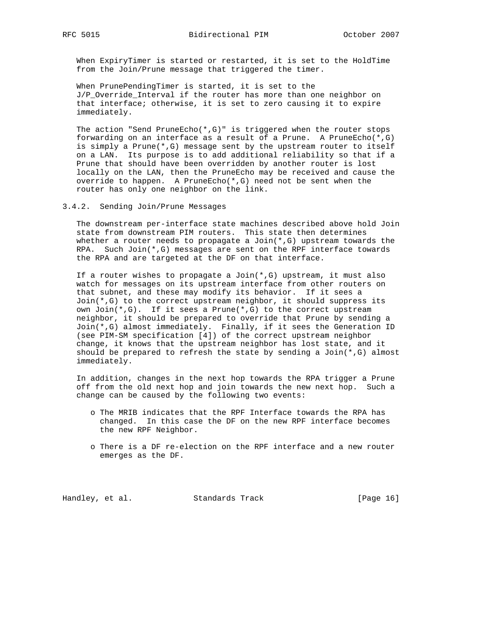When ExpiryTimer is started or restarted, it is set to the HoldTime from the Join/Prune message that triggered the timer.

 When PrunePendingTimer is started, it is set to the J/P\_Override\_Interval if the router has more than one neighbor on that interface; otherwise, it is set to zero causing it to expire immediately.

The action "Send PruneEcho( $*, G$ )" is triggered when the router stops forwarding on an interface as a result of a Prune. A PruneEcho $(*$ , G) is simply a Prune(\*,G) message sent by the upstream router to itself on a LAN. Its purpose is to add additional reliability so that if a Prune that should have been overridden by another router is lost locally on the LAN, then the PruneEcho may be received and cause the override to happen. A PruneEcho(\*,G) need not be sent when the router has only one neighbor on the link.

### 3.4.2. Sending Join/Prune Messages

 The downstream per-interface state machines described above hold Join state from downstream PIM routers. This state then determines whether a router needs to propagate a  $Join(*,G)$  upstream towards the RPA. Such Join(\*,G) messages are sent on the RPF interface towards the RPA and are targeted at the DF on that interface.

If a router wishes to propagate a  $Join(*,G)$  upstream, it must also watch for messages on its upstream interface from other routers on that subnet, and these may modify its behavior. If it sees a Join(\*,G) to the correct upstream neighbor, it should suppress its own Join(\*,G). If it sees a Prune(\*,G) to the correct upstream neighbor, it should be prepared to override that Prune by sending a Join(\*,G) almost immediately. Finally, if it sees the Generation ID (see PIM-SM specification [4]) of the correct upstream neighbor change, it knows that the upstream neighbor has lost state, and it should be prepared to refresh the state by sending a Join $(*$ , G) almost immediately.

 In addition, changes in the next hop towards the RPA trigger a Prune off from the old next hop and join towards the new next hop. Such a change can be caused by the following two events:

- o The MRIB indicates that the RPF Interface towards the RPA has changed. In this case the DF on the new RPF interface becomes the new RPF Neighbor.
- o There is a DF re-election on the RPF interface and a new router emerges as the DF.

Handley, et al. Standards Track [Page 16]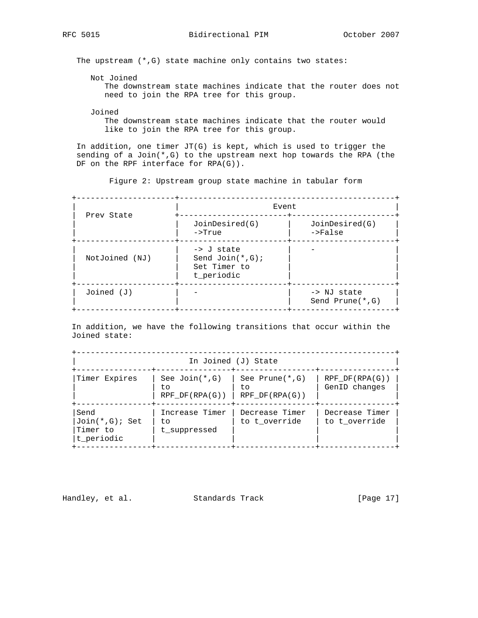The upstream (\*,G) state machine only contains two states:

Not Joined

 The downstream state machines indicate that the router does not need to join the RPA tree for this group.

Joined

 The downstream state machines indicate that the router would like to join the RPA tree for this group.

 In addition, one timer JT(G) is kept, which is used to trigger the sending of a Join $(*$ , G) to the upstream next hop towards the RPA (the DF on the RPF interface for RPA(G)).

Figure 2: Upstream group state machine in tabular form

| Prev State     | Event                                                                     |                                     |
|----------------|---------------------------------------------------------------------------|-------------------------------------|
|                | JoinDesired(G)<br>$\rightarrow$ True                                      | JoinDesired(G)<br>$->False$         |
| NotJoined (NJ) | $\rightarrow$ J state<br>Send $Join(*, G);$<br>Set Timer to<br>t_periodic |                                     |
| $Joined$ $(J)$ |                                                                           | -> NJ state<br>Send Prune $(*$ , G) |

 In addition, we have the following transitions that occur within the Joined state:

| In Joined (J) State                                |                                                           |                                 |                                 |
|----------------------------------------------------|-----------------------------------------------------------|---------------------------------|---------------------------------|
| Timer Expires                                      | See $Join(*, G)$<br>to<br>RPF DF(RPA(G))   RPF DF(RPA(G)) | See Prune(*,G)<br>to.           | RPF DF(RPA(G))<br>GenID changes |
| Send<br>$Join(*,G);$ Set<br>Timer to<br>t periodic | Increase Timer<br>to<br>t suppressed                      | Decrease Timer<br>to t override | Decrease Timer<br>to t override |

Handley, et al. Standards Track [Page 17]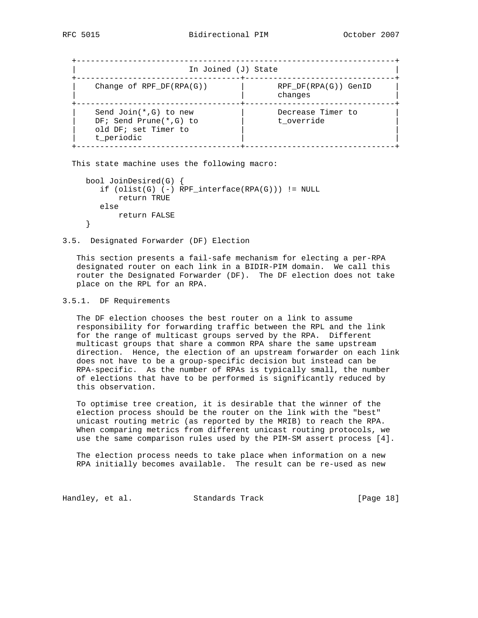| In Joined (J) State                                                                           |                                   |  |
|-----------------------------------------------------------------------------------------------|-----------------------------------|--|
| Change of RPF $DF(RPA(G))$                                                                    | $RPF DF(RPA(G))$ GenID<br>changes |  |
| Send Join $(*$ , G) to new<br>$DF: Send Prune(*, G) to$<br>old DF; set Timer to<br>t periodic | Decrease Timer to<br>t override   |  |

This state machine uses the following macro:

```
 bool JoinDesired(G) {
 if (olist(G) (-) RPF_interestface(RPA(G))) := NULL return TRUE
   else
      return FALSE
}
```
3.5. Designated Forwarder (DF) Election

 This section presents a fail-safe mechanism for electing a per-RPA designated router on each link in a BIDIR-PIM domain. We call this router the Designated Forwarder (DF). The DF election does not take place on the RPL for an RPA.

### 3.5.1. DF Requirements

 The DF election chooses the best router on a link to assume responsibility for forwarding traffic between the RPL and the link for the range of multicast groups served by the RPA. Different multicast groups that share a common RPA share the same upstream direction. Hence, the election of an upstream forwarder on each link does not have to be a group-specific decision but instead can be RPA-specific. As the number of RPAs is typically small, the number of elections that have to be performed is significantly reduced by this observation.

 To optimise tree creation, it is desirable that the winner of the election process should be the router on the link with the "best" unicast routing metric (as reported by the MRIB) to reach the RPA. When comparing metrics from different unicast routing protocols, we use the same comparison rules used by the PIM-SM assert process [4].

 The election process needs to take place when information on a new RPA initially becomes available. The result can be re-used as new

Handley, et al. Standards Track [Page 18]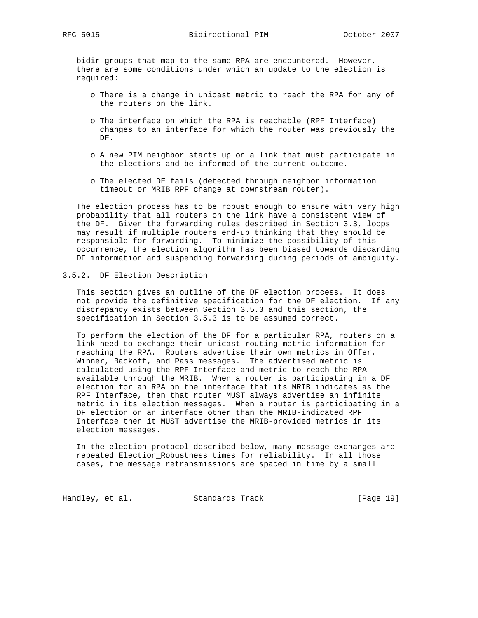bidir groups that map to the same RPA are encountered. However, there are some conditions under which an update to the election is required:

- o There is a change in unicast metric to reach the RPA for any of the routers on the link.
- o The interface on which the RPA is reachable (RPF Interface) changes to an interface for which the router was previously the DF.
- o A new PIM neighbor starts up on a link that must participate in the elections and be informed of the current outcome.
- o The elected DF fails (detected through neighbor information timeout or MRIB RPF change at downstream router).

 The election process has to be robust enough to ensure with very high probability that all routers on the link have a consistent view of the DF. Given the forwarding rules described in Section 3.3, loops may result if multiple routers end-up thinking that they should be responsible for forwarding. To minimize the possibility of this occurrence, the election algorithm has been biased towards discarding DF information and suspending forwarding during periods of ambiguity.

### 3.5.2. DF Election Description

 This section gives an outline of the DF election process. It does not provide the definitive specification for the DF election. If any discrepancy exists between Section 3.5.3 and this section, the specification in Section 3.5.3 is to be assumed correct.

 To perform the election of the DF for a particular RPA, routers on a link need to exchange their unicast routing metric information for reaching the RPA. Routers advertise their own metrics in Offer, Winner, Backoff, and Pass messages. The advertised metric is calculated using the RPF Interface and metric to reach the RPA available through the MRIB. When a router is participating in a DF election for an RPA on the interface that its MRIB indicates as the RPF Interface, then that router MUST always advertise an infinite metric in its election messages. When a router is participating in a DF election on an interface other than the MRIB-indicated RPF Interface then it MUST advertise the MRIB-provided metrics in its election messages.

 In the election protocol described below, many message exchanges are repeated Election\_Robustness times for reliability. In all those cases, the message retransmissions are spaced in time by a small

Handley, et al. Standards Track [Page 19]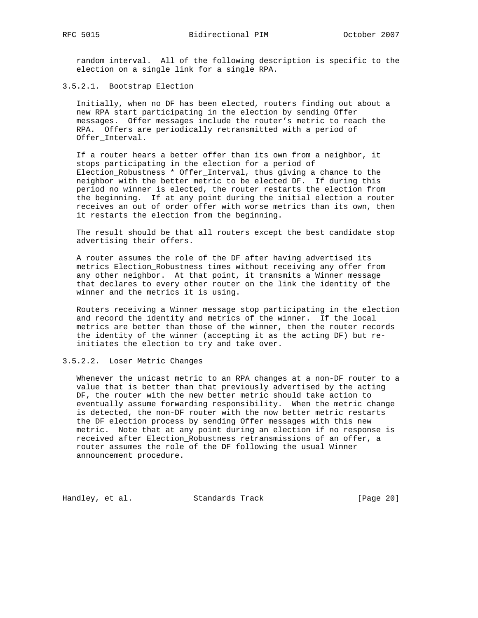random interval. All of the following description is specific to the election on a single link for a single RPA.

3.5.2.1. Bootstrap Election

 Initially, when no DF has been elected, routers finding out about a new RPA start participating in the election by sending Offer messages. Offer messages include the router's metric to reach the RPA. Offers are periodically retransmitted with a period of Offer Interval.

 If a router hears a better offer than its own from a neighbor, it stops participating in the election for a period of Election\_Robustness \* Offer\_Interval, thus giving a chance to the neighbor with the better metric to be elected DF. If during this period no winner is elected, the router restarts the election from the beginning. If at any point during the initial election a router receives an out of order offer with worse metrics than its own, then it restarts the election from the beginning.

 The result should be that all routers except the best candidate stop advertising their offers.

 A router assumes the role of the DF after having advertised its metrics Election\_Robustness times without receiving any offer from any other neighbor. At that point, it transmits a Winner message that declares to every other router on the link the identity of the winner and the metrics it is using.

 Routers receiving a Winner message stop participating in the election and record the identity and metrics of the winner. If the local metrics are better than those of the winner, then the router records the identity of the winner (accepting it as the acting DF) but re initiates the election to try and take over.

3.5.2.2. Loser Metric Changes

 Whenever the unicast metric to an RPA changes at a non-DF router to a value that is better than that previously advertised by the acting DF, the router with the new better metric should take action to eventually assume forwarding responsibility. When the metric change is detected, the non-DF router with the now better metric restarts the DF election process by sending Offer messages with this new metric. Note that at any point during an election if no response is received after Election\_Robustness retransmissions of an offer, a router assumes the role of the DF following the usual Winner announcement procedure.

Handley, et al. Standards Track [Page 20]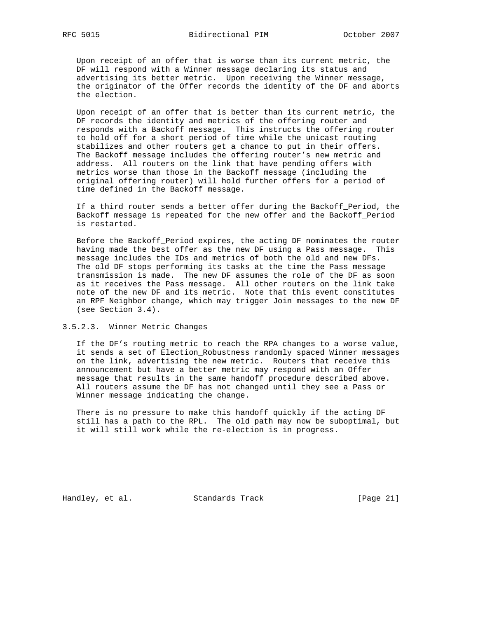Upon receipt of an offer that is worse than its current metric, the DF will respond with a Winner message declaring its status and advertising its better metric. Upon receiving the Winner message, the originator of the Offer records the identity of the DF and aborts the election.

 Upon receipt of an offer that is better than its current metric, the DF records the identity and metrics of the offering router and responds with a Backoff message. This instructs the offering router to hold off for a short period of time while the unicast routing stabilizes and other routers get a chance to put in their offers. The Backoff message includes the offering router's new metric and address. All routers on the link that have pending offers with metrics worse than those in the Backoff message (including the original offering router) will hold further offers for a period of time defined in the Backoff message.

 If a third router sends a better offer during the Backoff\_Period, the Backoff message is repeated for the new offer and the Backoff\_Period is restarted.

 Before the Backoff\_Period expires, the acting DF nominates the router having made the best offer as the new DF using a Pass message. This message includes the IDs and metrics of both the old and new DFs. The old DF stops performing its tasks at the time the Pass message transmission is made. The new DF assumes the role of the DF as soon as it receives the Pass message. All other routers on the link take note of the new DF and its metric. Note that this event constitutes an RPF Neighbor change, which may trigger Join messages to the new DF (see Section 3.4).

3.5.2.3. Winner Metric Changes

 If the DF's routing metric to reach the RPA changes to a worse value, it sends a set of Election\_Robustness randomly spaced Winner messages on the link, advertising the new metric. Routers that receive this announcement but have a better metric may respond with an Offer message that results in the same handoff procedure described above. All routers assume the DF has not changed until they see a Pass or Winner message indicating the change.

 There is no pressure to make this handoff quickly if the acting DF still has a path to the RPL. The old path may now be suboptimal, but it will still work while the re-election is in progress.

Handley, et al. Standards Track [Page 21]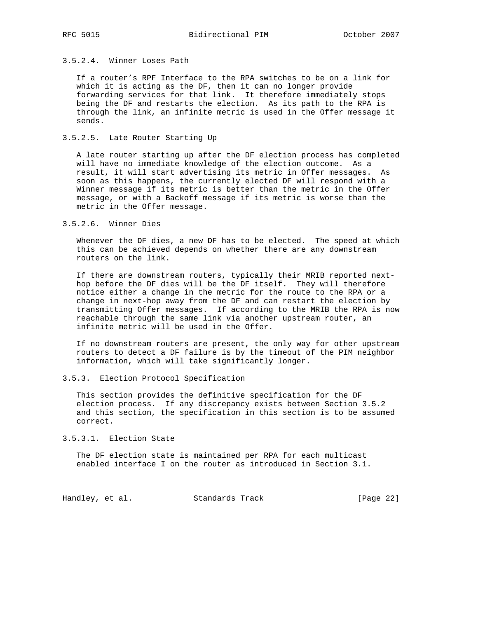# 3.5.2.4. Winner Loses Path

 If a router's RPF Interface to the RPA switches to be on a link for which it is acting as the DF, then it can no longer provide forwarding services for that link. It therefore immediately stops being the DF and restarts the election. As its path to the RPA is through the link, an infinite metric is used in the Offer message it sends.

## 3.5.2.5. Late Router Starting Up

 A late router starting up after the DF election process has completed will have no immediate knowledge of the election outcome. As a result, it will start advertising its metric in Offer messages. As soon as this happens, the currently elected DF will respond with a Winner message if its metric is better than the metric in the Offer message, or with a Backoff message if its metric is worse than the metric in the Offer message.

#### 3.5.2.6. Winner Dies

 Whenever the DF dies, a new DF has to be elected. The speed at which this can be achieved depends on whether there are any downstream routers on the link.

 If there are downstream routers, typically their MRIB reported next hop before the DF dies will be the DF itself. They will therefore notice either a change in the metric for the route to the RPA or a change in next-hop away from the DF and can restart the election by transmitting Offer messages. If according to the MRIB the RPA is now reachable through the same link via another upstream router, an infinite metric will be used in the Offer.

 If no downstream routers are present, the only way for other upstream routers to detect a DF failure is by the timeout of the PIM neighbor information, which will take significantly longer.

#### 3.5.3. Election Protocol Specification

 This section provides the definitive specification for the DF election process. If any discrepancy exists between Section 3.5.2 and this section, the specification in this section is to be assumed correct.

#### 3.5.3.1. Election State

 The DF election state is maintained per RPA for each multicast enabled interface I on the router as introduced in Section 3.1.

Handley, et al. Standards Track [Page 22]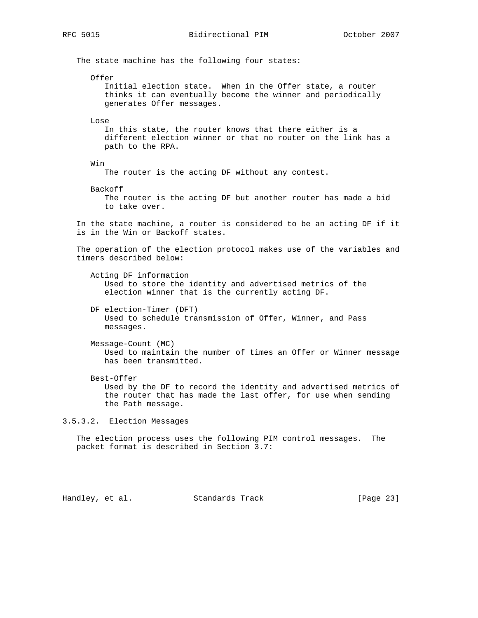The state machine has the following four states:

Offer

 Initial election state. When in the Offer state, a router thinks it can eventually become the winner and periodically generates Offer messages.

Lose

 In this state, the router knows that there either is a different election winner or that no router on the link has a path to the RPA.

Win

The router is the acting DF without any contest.

Backoff

 The router is the acting DF but another router has made a bid to take over.

 In the state machine, a router is considered to be an acting DF if it is in the Win or Backoff states.

 The operation of the election protocol makes use of the variables and timers described below:

 Acting DF information Used to store the identity and advertised metrics of the election winner that is the currently acting DF.

 DF election-Timer (DFT) Used to schedule transmission of Offer, Winner, and Pass messages.

Message-Count (MC)

 Used to maintain the number of times an Offer or Winner message has been transmitted.

 Best-Offer Used by the DF to record the identity and advertised metrics of the router that has made the last offer, for use when sending the Path message.

3.5.3.2. Election Messages

 The election process uses the following PIM control messages. The packet format is described in Section 3.7:

Handley, et al. Standards Track [Page 23]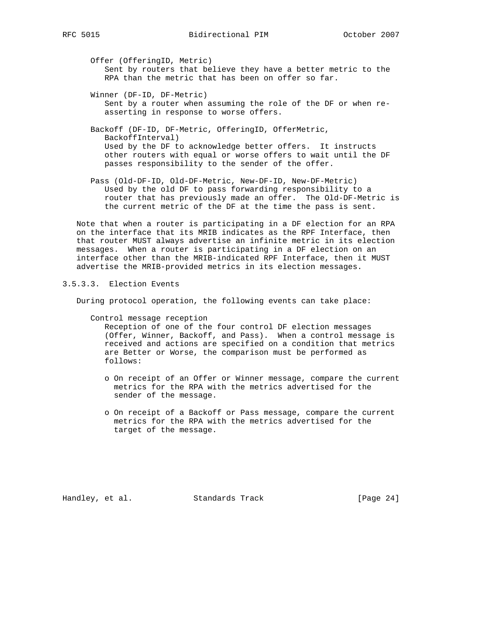Offer (OfferingID, Metric) Sent by routers that believe they have a better metric to the RPA than the metric that has been on offer so far.

 Winner (DF-ID, DF-Metric) Sent by a router when assuming the role of the DF or when re asserting in response to worse offers.

 Backoff (DF-ID, DF-Metric, OfferingID, OfferMetric, BackoffInterval) Used by the DF to acknowledge better offers. It instructs other routers with equal or worse offers to wait until the DF passes responsibility to the sender of the offer.

 Pass (Old-DF-ID, Old-DF-Metric, New-DF-ID, New-DF-Metric) Used by the old DF to pass forwarding responsibility to a router that has previously made an offer. The Old-DF-Metric is the current metric of the DF at the time the pass is sent.

 Note that when a router is participating in a DF election for an RPA on the interface that its MRIB indicates as the RPF Interface, then that router MUST always advertise an infinite metric in its election messages. When a router is participating in a DF election on an interface other than the MRIB-indicated RPF Interface, then it MUST advertise the MRIB-provided metrics in its election messages.

# 3.5.3.3. Election Events

During protocol operation, the following events can take place:

Control message reception

 Reception of one of the four control DF election messages (Offer, Winner, Backoff, and Pass). When a control message is received and actions are specified on a condition that metrics are Better or Worse, the comparison must be performed as follows:

- o On receipt of an Offer or Winner message, compare the current metrics for the RPA with the metrics advertised for the sender of the message.
- o On receipt of a Backoff or Pass message, compare the current metrics for the RPA with the metrics advertised for the target of the message.

Handley, et al. Standards Track [Page 24]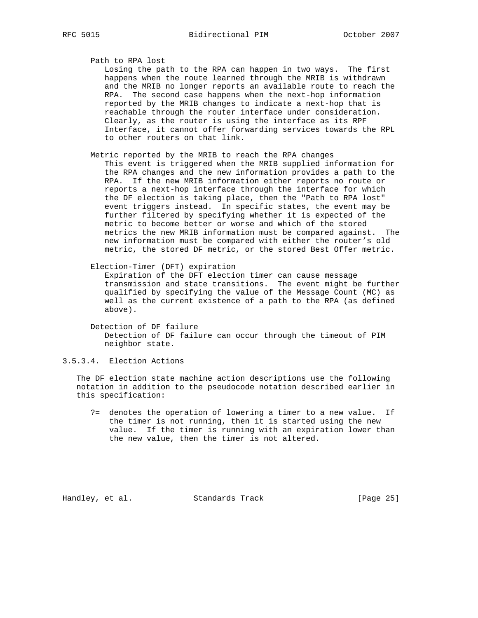Path to RPA lost

 Losing the path to the RPA can happen in two ways. The first happens when the route learned through the MRIB is withdrawn and the MRIB no longer reports an available route to reach the RPA. The second case happens when the next-hop information reported by the MRIB changes to indicate a next-hop that is reachable through the router interface under consideration. Clearly, as the router is using the interface as its RPF Interface, it cannot offer forwarding services towards the RPL to other routers on that link.

- Metric reported by the MRIB to reach the RPA changes This event is triggered when the MRIB supplied information for the RPA changes and the new information provides a path to the RPA. If the new MRIB information either reports no route or reports a next-hop interface through the interface for which the DF election is taking place, then the "Path to RPA lost" event triggers instead. In specific states, the event may be further filtered by specifying whether it is expected of the metric to become better or worse and which of the stored metrics the new MRIB information must be compared against. The new information must be compared with either the router's old metric, the stored DF metric, or the stored Best Offer metric.
- Election-Timer (DFT) expiration

 Expiration of the DFT election timer can cause message transmission and state transitions. The event might be further qualified by specifying the value of the Message Count (MC) as well as the current existence of a path to the RPA (as defined above).

 Detection of DF failure Detection of DF failure can occur through the timeout of PIM neighbor state.

3.5.3.4. Election Actions

 The DF election state machine action descriptions use the following notation in addition to the pseudocode notation described earlier in this specification:

 ?= denotes the operation of lowering a timer to a new value. If the timer is not running, then it is started using the new value. If the timer is running with an expiration lower than the new value, then the timer is not altered.

Handley, et al. Standards Track [Page 25]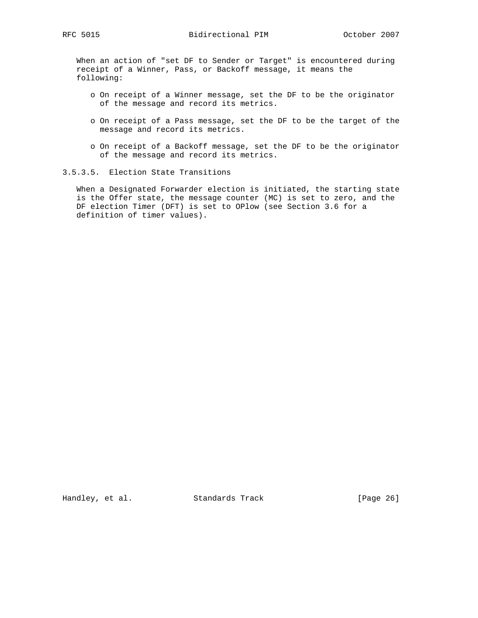When an action of "set DF to Sender or Target" is encountered during receipt of a Winner, Pass, or Backoff message, it means the following:

- o On receipt of a Winner message, set the DF to be the originator of the message and record its metrics.
- o On receipt of a Pass message, set the DF to be the target of the message and record its metrics.
- o On receipt of a Backoff message, set the DF to be the originator of the message and record its metrics.

# 3.5.3.5. Election State Transitions

 When a Designated Forwarder election is initiated, the starting state is the Offer state, the message counter (MC) is set to zero, and the DF election Timer (DFT) is set to OPlow (see Section 3.6 for a definition of timer values).

Handley, et al. Standards Track [Page 26]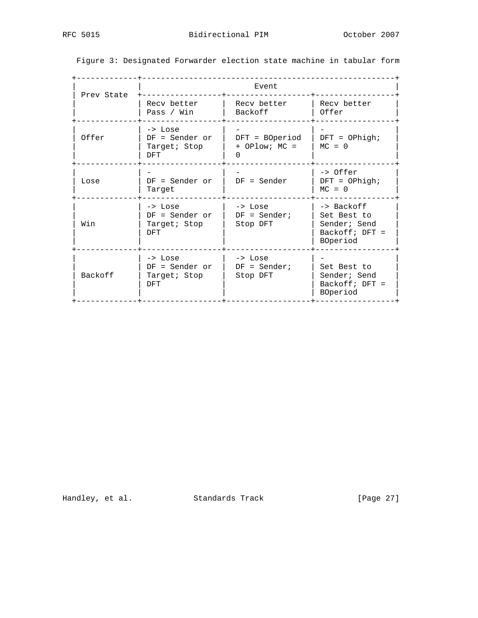| Prev State |                                                           | Event                                  |                                                                           |
|------------|-----------------------------------------------------------|----------------------------------------|---------------------------------------------------------------------------|
|            | Recy better<br>Pass / Win                                 | Recy better<br>Backoff                 | Recy better<br>Offer                                                      |
| Offer      | -> Lose<br>$DF = Sender$ or<br>Target; Stop<br><b>DFT</b> | $DFT = BOperiod$<br>$+$ OPlow; MC =    | $DFT = OPhigh;$<br>$MC = 0$                                               |
| Lose       | $DF = Sender$ or<br>Target                                | $DF = Sender$                          | -> Offer<br>$DFT = OPhigh;$<br>$MC = 0$                                   |
| Win        | -> Lose<br>$DF = Sender$ or<br>Target; Stop<br><b>DFT</b> | -> Lose<br>$DF = Sender$ ;<br>Stop DFT | -> Backoff<br>Set Best to<br>Sender; Send<br>$Backoff; DFT =$<br>BOperiod |
| Backoff    | -> Lose<br>$DF = Sender$ or<br>Target; Stop<br>DFT        | -> Lose<br>$DF = Sender$ ;<br>Stop DFT | Set Best to<br>Sender; Send<br>$Backoff; DFT =$<br>BOperiod               |

Figure 3: Designated Forwarder election state machine in tabular form

Handley, et al. Standards Track [Page 27]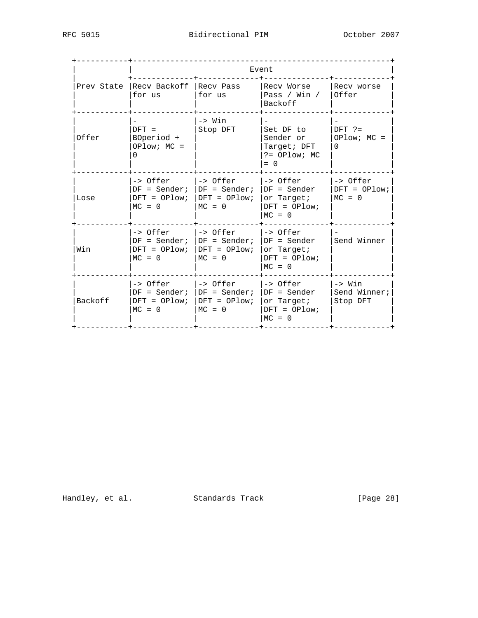|         | Event                                                               |                                                            |                                                                         |                                               |
|---------|---------------------------------------------------------------------|------------------------------------------------------------|-------------------------------------------------------------------------|-----------------------------------------------|
|         | Prev State Recy Backoff Recy Pass<br>for us                         | for us                                                     | Recy Worse<br>Pass / Win /<br>Backoff                                   | Recv worse<br>Offer                           |
| Offer   | $DFT =$<br>BOperiod +<br>$OPlow: MC =$<br>0                         | -> Win<br>Stop DFT                                         | Set DF to<br>Sender or<br>Target; DFT<br>$? = OPlow; MC$<br>$= 0$       | $DFT$ ?=<br>$OPlow: MC =$<br>$\Omega$         |
| Lose    | -> Offer<br>$DF = Sender:$<br>$DFT = OPlow$ ;<br>$MC = 0$           | l-> Offer<br>$DF = Sender$ ;<br>$DFT = OPlow;$<br>$MC = 0$ | l-> Offer<br>$DF = Sender$<br>or Target;<br>$DFT = OPlow$<br>$MC = 0$   | -> Offer<br>$DFT = OPlow$<br>$MC = 0$         |
| Win     | -> Offer l-> Offer<br>$DF = Sender$ ;<br>$DFT = OPlow;$<br>$MC = 0$ | $DF = Sender$ ;<br>$DFT = OPlow;$<br>$MC = 0$              | $ ->$ Offer<br>$DF = Sender$<br>or Target;<br>$DFT = OPlow$<br>$MC = 0$ | Send Winner                                   |
| Backoff | -> Offer<br>$DF = Sender$ ;<br>$DFT = OPlow:$<br>$MC = 0$           | -> Offer<br>$DF = Sender$ ;<br>$DFT = OPlow$ ;<br>$MC = 0$ | l-> Offer<br>$DF = Sender$<br>or Target;<br>$DFT = OPlow$<br>$MC = 0$   | $\rightarrow$ Win<br>Send Winner;<br>Stop DFT |

Handley, et al. Standards Track [Page 28]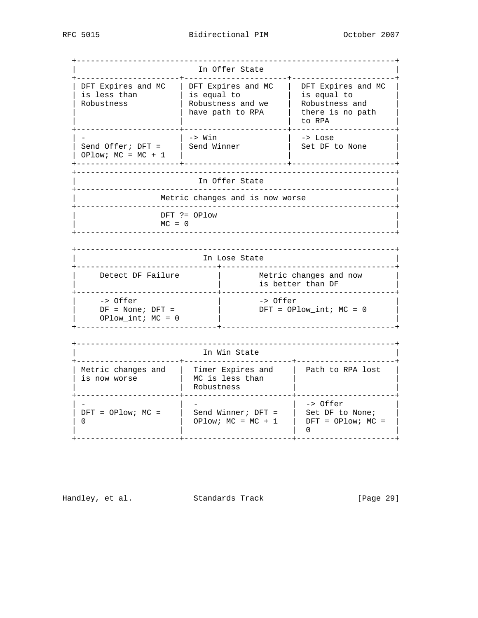+--------------------------------------------------------------------+ In Offer State +----------------------+----------------------+----------------------+ | DFT Expires and MC | DFT Expires and MC | DFT Expires and MC | | is less than  $|$  is equal to  $|$  is equal to  $|$  | Robustness | Robustness and we | Robustness and | |  $\vert$  have path to RPA | there is no path | | | | to RPA | +----------------------+----------------------+----------------------+ | - | -> Win | -> Lose | | Send Offer; DFT = | Send Winner | Set DF to None | | OPlow; MC = MC + 1 | | | +----------------------+----------------------+----------------------+ +--------------------------------------------------------------------+ In Offer State +--------------------------------------------------------------------+ Metric changes and is now worse +--------------------------------------------------------------------+ | DFT ?= OPlow |  $MC = 0$  +--------------------------------------------------------------------+ +--------------------------------------------------------------------+ In Lose State +------------------------------+-------------------------------------+ | Detect DF Failure | Metric changes and now | | is better than DF | | +------------------------------+-------------------------------------+ | -> Offer | -> Offer | | DF = None; DFT = | DFT = OPlow\_int; MC = 0 | | OPlow\_int; MC = 0 | | +------------------------------+-------------------------------------+ +--------------------------------------------------------------------+ In Win State +----------------------+-----------------------+---------------------+ | Metric changes and | Timer Expires and | Path to RPA lost |  $\vert$  is now worse  $\vert$  MC is less than  $\vert$   $\vert$  | | Robustness | | +----------------------+-----------------------+---------------------+ | - | - | - | -> Offer | | DFT = OPlow; MC = | Send Winner; DFT = | Set DF to None; | | 0 | OPlow; MC = MC + 1 | DFT = OPlow; MC = | | | | 0 | +----------------------+-----------------------+---------------------+

Handley, et al. Standards Track [Page 29]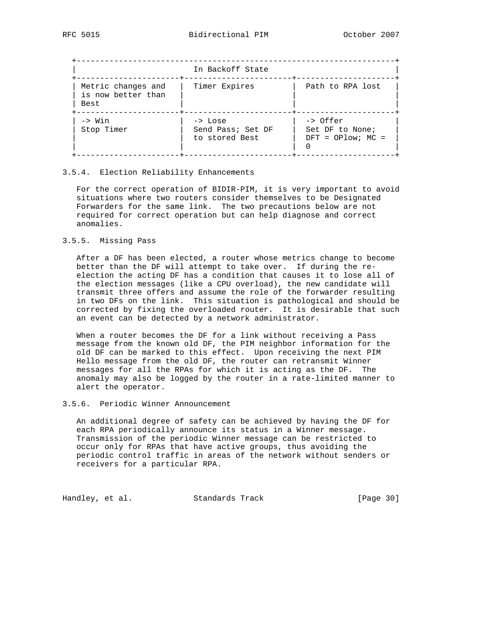|                                                  | In Backoff State                               |                                                    |
|--------------------------------------------------|------------------------------------------------|----------------------------------------------------|
| Metric changes and<br>is now better than<br>Best | Timer Expires                                  | Path to RPA lost                                   |
| -> Win<br>Stop Timer                             | -> Lose<br>Send Pass; Set DF<br>to stored Best | -> Offer<br>Set DF to None;<br>$DFT = OPlow; MC =$ |

## 3.5.4. Election Reliability Enhancements

 For the correct operation of BIDIR-PIM, it is very important to avoid situations where two routers consider themselves to be Designated Forwarders for the same link. The two precautions below are not required for correct operation but can help diagnose and correct anomalies.

### 3.5.5. Missing Pass

 After a DF has been elected, a router whose metrics change to become better than the DF will attempt to take over. If during the re election the acting DF has a condition that causes it to lose all of the election messages (like a CPU overload), the new candidate will transmit three offers and assume the role of the forwarder resulting in two DFs on the link. This situation is pathological and should be corrected by fixing the overloaded router. It is desirable that such an event can be detected by a network administrator.

 When a router becomes the DF for a link without receiving a Pass message from the known old DF, the PIM neighbor information for the old DF can be marked to this effect. Upon receiving the next PIM Hello message from the old DF, the router can retransmit Winner messages for all the RPAs for which it is acting as the DF. The anomaly may also be logged by the router in a rate-limited manner to alert the operator.

### 3.5.6. Periodic Winner Announcement

 An additional degree of safety can be achieved by having the DF for each RPA periodically announce its status in a Winner message. Transmission of the periodic Winner message can be restricted to occur only for RPAs that have active groups, thus avoiding the periodic control traffic in areas of the network without senders or receivers for a particular RPA.

Handley, et al. Standards Track [Page 30]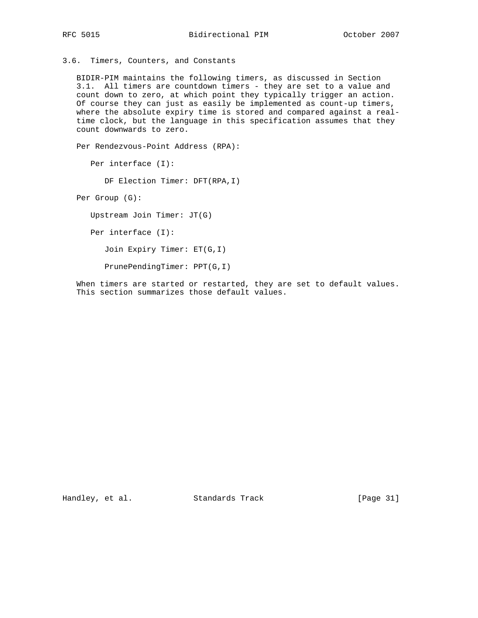3.6. Timers, Counters, and Constants

 BIDIR-PIM maintains the following timers, as discussed in Section 3.1. All timers are countdown timers - they are set to a value and count down to zero, at which point they typically trigger an action. Of course they can just as easily be implemented as count-up timers, where the absolute expiry time is stored and compared against a real time clock, but the language in this specification assumes that they count downwards to zero.

Per Rendezvous-Point Address (RPA):

Per interface (I):

DF Election Timer: DFT(RPA,I)

Per Group (G):

Upstream Join Timer: JT(G)

Per interface (I):

Join Expiry Timer: ET(G,I)

PrunePendingTimer: PPT(G,I)

 When timers are started or restarted, they are set to default values. This section summarizes those default values.

Handley, et al. Standards Track [Page 31]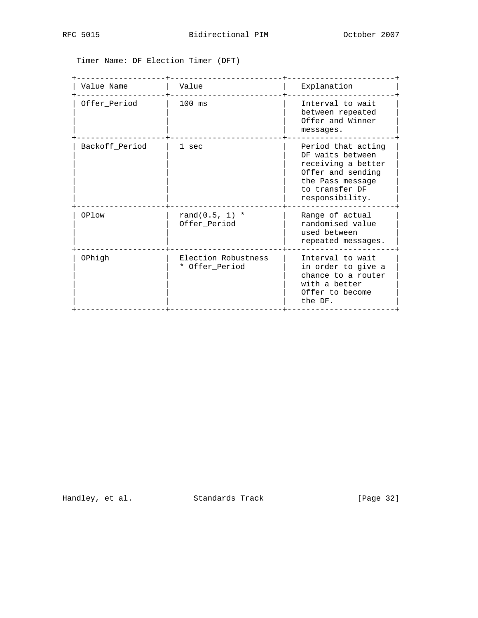Timer Name: DF Election Timer (DFT)

| Value Name     | Value                                 | Explanation                                                                                                                                |
|----------------|---------------------------------------|--------------------------------------------------------------------------------------------------------------------------------------------|
| Offer_Period   | $100$ ms                              | Interval to wait<br>between repeated<br>Offer and Winner<br>messages.                                                                      |
| Backoff Period | 1 sec                                 | Period that acting<br>DF waits between<br>receiving a better<br>Offer and sending<br>the Pass message<br>to transfer DF<br>responsibility. |
| OPlow          | rand $(0.5, 1)$ *<br>Offer_Period     | Range of actual<br>randomised value<br>used between<br>repeated messages.                                                                  |
| OPhigh         | Election_Robustness<br>* Offer_Period | Interval to wait<br>in order to give a<br>chance to a router<br>with a better<br>Offer to become<br>the DF.                                |

Handley, et al. Standards Track [Page 32]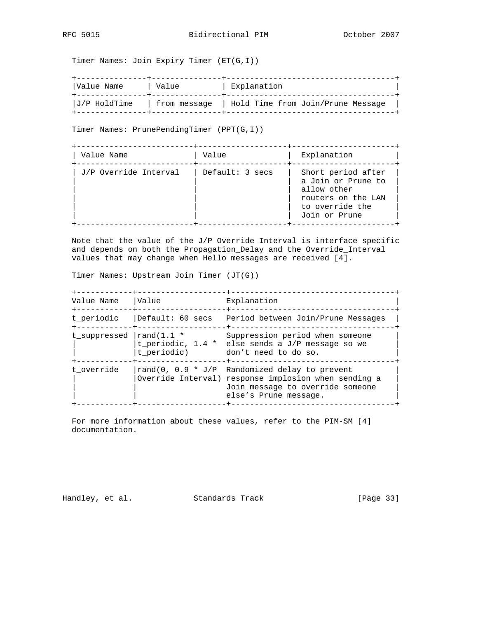Timer Names: Join Expiry Timer (ET(G,I))

| Value Name   | Value          | Explanation                       |  |
|--------------|----------------|-----------------------------------|--|
| J/P HoldTime | ! from message | Hold Time from Join/Prune Message |  |

Timer Names: PrunePendingTimer (PPT(G,I))

| Value Name            | Value           | Explanation                                                                                                       |
|-----------------------|-----------------|-------------------------------------------------------------------------------------------------------------------|
| J/P Override Interval | Default: 3 secs | Short period after<br>a Join or Prune to<br>allow other<br>routers on the LAN<br>to override the<br>Join or Prune |

 Note that the value of the J/P Override Interval is interface specific and depends on both the Propagation\_Delay and the Override\_Interval values that may change when Hello messages are received [4].

Timer Names: Upstream Join Timer (JT(G))

| Value Name<br>-----------+-------- | Value                                          | Explanation<br>$- + - - - - - - -$                                                                                                                                   |
|------------------------------------|------------------------------------------------|----------------------------------------------------------------------------------------------------------------------------------------------------------------------|
| t periodic                         |                                                | Default: 60 secs  Period between Join/Prune Messages                                                                                                                 |
| t suppressed                       | $\lfloor \text{rand}(1.1 \cdot$<br>t_periodic) | Suppression period when someone<br>t_periodic, 1.4 * else sends a J/P message so we<br>don't need to do so.                                                          |
| t override                         |                                                | rand(0, $0.9 * J/P$ Randomized delay to prevent<br>Override Interval) response implosion when sending a<br>Join message to override someone<br>else's Prune message. |

 For more information about these values, refer to the PIM-SM [4] documentation.

Handley, et al. Standards Track [Page 33]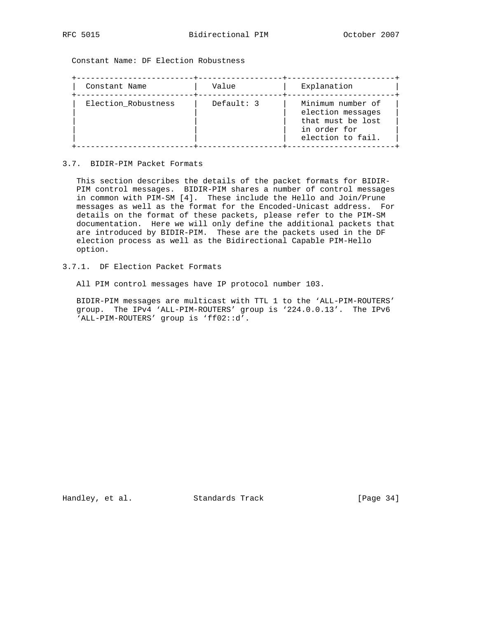Constant Name: DF Election Robustness

| Constant Name       | Value        | Explanation                                                                                      |
|---------------------|--------------|--------------------------------------------------------------------------------------------------|
| Election_Robustness | Default: $3$ | Minimum number of<br>election messages<br>that must be lost<br>in order for<br>election to fail. |

## 3.7. BIDIR-PIM Packet Formats

 This section describes the details of the packet formats for BIDIR- PIM control messages. BIDIR-PIM shares a number of control messages in common with PIM-SM [4]. These include the Hello and Join/Prune messages as well as the format for the Encoded-Unicast address. For details on the format of these packets, please refer to the PIM-SM documentation. Here we will only define the additional packets that are introduced by BIDIR-PIM. These are the packets used in the DF election process as well as the Bidirectional Capable PIM-Hello option.

# 3.7.1. DF Election Packet Formats

All PIM control messages have IP protocol number 103.

 BIDIR-PIM messages are multicast with TTL 1 to the 'ALL-PIM-ROUTERS' group. The IPv4 'ALL-PIM-ROUTERS' group is '224.0.0.13'. The IPv6 'ALL-PIM-ROUTERS' group is 'ff02::d'.

Handley, et al. Standards Track [Page 34]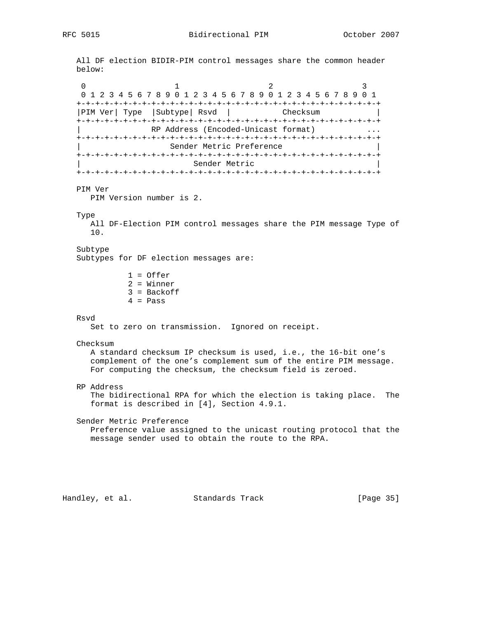All DF election BIDIR-PIM control messages share the common header below: 0  $1$  2 3 0 1 2 3 4 5 6 7 8 9 0 1 2 3 4 5 6 7 8 9 0 1 2 3 4 5 6 7 8 9 0 1 +-+-+-+-+-+-+-+-+-+-+-+-+-+-+-+-+-+-+-+-+-+-+-+-+-+-+-+-+-+-+-+-+ |PIM Ver| Type | Subtype| Rsvd | Checksum +-+-+-+-+-+-+-+-+-+-+-+-+-+-+-+-+-+-+-+-+-+-+-+-+-+-+-+-+-+-+-+-+ RP Address (Encoded-Unicast format) +-+-+-+-+-+-+-+-+-+-+-+-+-+-+-+-+-+-+-+-+-+-+-+-+-+-+-+-+-+-+-+-+ Sender Metric Preference +-+-+-+-+-+-+-+-+-+-+-+-+-+-+-+-+-+-+-+-+-+-+-+-+-+-+-+-+-+-+-+-+ Sender Metric +-+-+-+-+-+-+-+-+-+-+-+-+-+-+-+-+-+-+-+-+-+-+-+-+-+-+-+-+-+-+-+-+ PIM Ver PIM Version number is 2. Type All DF-Election PIM control messages share the PIM message Type of 10. Subtype Subtypes for DF election messages are: 1 = Offer 2 = Winner 3 = Backoff  $4$  = Pass Rsvd Set to zero on transmission. Ignored on receipt. Checksum A standard checksum IP checksum is used, i.e., the 16-bit one's complement of the one's complement sum of the entire PIM message. For computing the checksum, the checksum field is zeroed. RP Address The bidirectional RPA for which the election is taking place. The format is described in [4], Section 4.9.1. Sender Metric Preference Preference value assigned to the unicast routing protocol that the message sender used to obtain the route to the RPA.

Handley, et al. Standards Track [Page 35]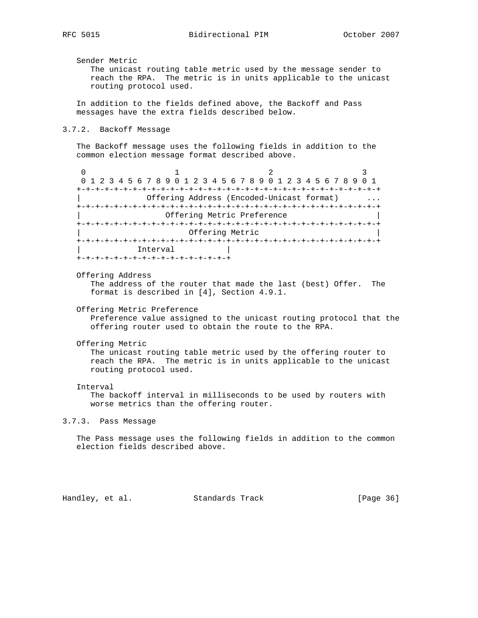Sender Metric

 The unicast routing table metric used by the message sender to reach the RPA. The metric is in units applicable to the unicast routing protocol used.

 In addition to the fields defined above, the Backoff and Pass messages have the extra fields described below.

### 3.7.2. Backoff Message

 The Backoff message uses the following fields in addition to the common election message format described above.

0  $1$  2 3 0 1 2 3 4 5 6 7 8 9 0 1 2 3 4 5 6 7 8 9 0 1 2 3 4 5 6 7 8 9 0 1 +-+-+-+-+-+-+-+-+-+-+-+-+-+-+-+-+-+-+-+-+-+-+-+-+-+-+-+-+-+-+-+-+ Offering Address (Encoded-Unicast format) +-+-+-+-+-+-+-+-+-+-+-+-+-+-+-+-+-+-+-+-+-+-+-+-+-+-+-+-+-+-+-+-+ Offering Metric Preference +-+-+-+-+-+-+-+-+-+-+-+-+-+-+-+-+-+-+-+-+-+-+-+-+-+-+-+-+-+-+-+-+ Offering Metric +-+-+-+-+-+-+-+-+-+-+-+-+-+-+-+-+-+-+-+-+-+-+-+-+-+-+-+-+-+-+-+-+ | Interval +-+-+-+-+-+-+-+-+-+-+-+-+-+-+-+-+

Offering Address

 The address of the router that made the last (best) Offer. The format is described in [4], Section 4.9.1.

Offering Metric Preference

 Preference value assigned to the unicast routing protocol that the offering router used to obtain the route to the RPA.

Offering Metric

 The unicast routing table metric used by the offering router to reach the RPA. The metric is in units applicable to the unicast routing protocol used.

#### Interval

 The backoff interval in milliseconds to be used by routers with worse metrics than the offering router.

3.7.3. Pass Message

 The Pass message uses the following fields in addition to the common election fields described above.

Handley, et al. Standards Track [Page 36]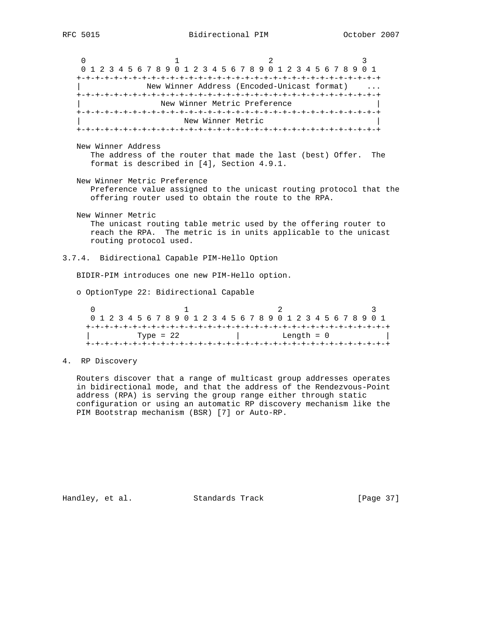0  $1$  2 3 0 1 2 3 4 5 6 7 8 9 0 1 2 3 4 5 6 7 8 9 0 1 2 3 4 5 6 7 8 9 0 1 +-+-+-+-+-+-+-+-+-+-+-+-+-+-+-+-+-+-+-+-+-+-+-+-+-+-+-+-+-+-+-+-+ New Winner Address (Encoded-Unicast format) ... +-+-+-+-+-+-+-+-+-+-+-+-+-+-+-+-+-+-+-+-+-+-+-+-+-+-+-+-+-+-+-+-+ New Winner Metric Preference +-+-+-+-+-+-+-+-+-+-+-+-+-+-+-+-+-+-+-+-+-+-+-+-+-+-+-+-+-+-+-+-+ New Winner Metric +-+-+-+-+-+-+-+-+-+-+-+-+-+-+-+-+-+-+-+-+-+-+-+-+-+-+-+-+-+-+-+-+ New Winner Address The address of the router that made the last (best) Offer. The format is described in [4], Section 4.9.1. New Winner Metric Preference Preference value assigned to the unicast routing protocol that the offering router used to obtain the route to the RPA. New Winner Metric The unicast routing table metric used by the offering router to reach the RPA. The metric is in units applicable to the unicast routing protocol used. 3.7.4. Bidirectional Capable PIM-Hello Option BIDIR-PIM introduces one new PIM-Hello option. o OptionType 22: Bidirectional Capable  $0$  and  $1$  and  $2$  3 0 1 2 3 4 5 6 7 8 9 0 1 2 3 4 5 6 7 8 9 0 1 2 3 4 5 6 7 8 9 0 1 +-+-+-+-+-+-+-+-+-+-+-+-+-+-+-+-+-+-+-+-+-+-+-+-+-+-+-+-+-+-+-+-+  $\text{Type} = 22$  | Length = 0 +-+-+-+-+-+-+-+-+-+-+-+-+-+-+-+-+-+-+-+-+-+-+-+-+-+-+-+-+-+-+-+-+ 4. RP Discovery

 Routers discover that a range of multicast group addresses operates in bidirectional mode, and that the address of the Rendezvous-Point address (RPA) is serving the group range either through static configuration or using an automatic RP discovery mechanism like the PIM Bootstrap mechanism (BSR) [7] or Auto-RP.

Handley, et al. Standards Track [Page 37]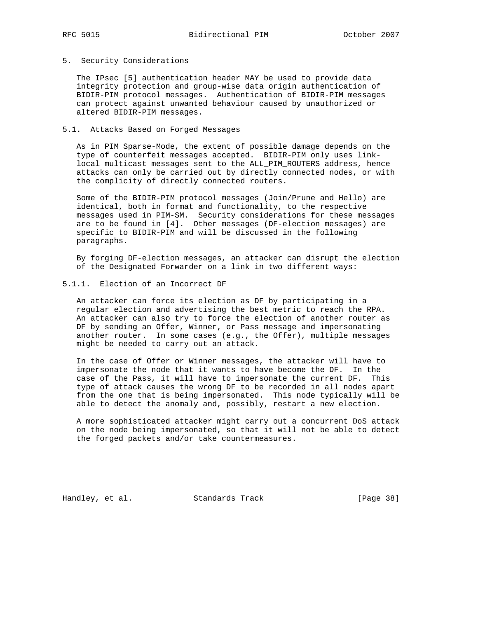### 5. Security Considerations

 The IPsec [5] authentication header MAY be used to provide data integrity protection and group-wise data origin authentication of BIDIR-PIM protocol messages. Authentication of BIDIR-PIM messages can protect against unwanted behaviour caused by unauthorized or altered BIDIR-PIM messages.

## 5.1. Attacks Based on Forged Messages

 As in PIM Sparse-Mode, the extent of possible damage depends on the type of counterfeit messages accepted. BIDIR-PIM only uses link local multicast messages sent to the ALL\_PIM\_ROUTERS address, hence attacks can only be carried out by directly connected nodes, or with the complicity of directly connected routers.

 Some of the BIDIR-PIM protocol messages (Join/Prune and Hello) are identical, both in format and functionality, to the respective messages used in PIM-SM. Security considerations for these messages are to be found in [4]. Other messages (DF-election messages) are specific to BIDIR-PIM and will be discussed in the following paragraphs.

 By forging DF-election messages, an attacker can disrupt the election of the Designated Forwarder on a link in two different ways:

## 5.1.1. Election of an Incorrect DF

 An attacker can force its election as DF by participating in a regular election and advertising the best metric to reach the RPA. An attacker can also try to force the election of another router as DF by sending an Offer, Winner, or Pass message and impersonating another router. In some cases (e.g., the Offer), multiple messages might be needed to carry out an attack.

 In the case of Offer or Winner messages, the attacker will have to impersonate the node that it wants to have become the DF. In the case of the Pass, it will have to impersonate the current DF. This type of attack causes the wrong DF to be recorded in all nodes apart from the one that is being impersonated. This node typically will be able to detect the anomaly and, possibly, restart a new election.

 A more sophisticated attacker might carry out a concurrent DoS attack on the node being impersonated, so that it will not be able to detect the forged packets and/or take countermeasures.

Handley, et al. Standards Track [Page 38]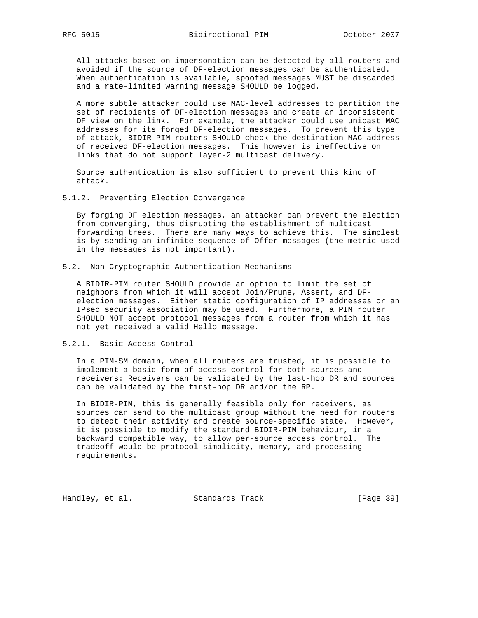All attacks based on impersonation can be detected by all routers and avoided if the source of DF-election messages can be authenticated. When authentication is available, spoofed messages MUST be discarded and a rate-limited warning message SHOULD be logged.

 A more subtle attacker could use MAC-level addresses to partition the set of recipients of DF-election messages and create an inconsistent DF view on the link. For example, the attacker could use unicast MAC addresses for its forged DF-election messages. To prevent this type of attack, BIDIR-PIM routers SHOULD check the destination MAC address of received DF-election messages. This however is ineffective on links that do not support layer-2 multicast delivery.

 Source authentication is also sufficient to prevent this kind of attack.

5.1.2. Preventing Election Convergence

 By forging DF election messages, an attacker can prevent the election from converging, thus disrupting the establishment of multicast forwarding trees. There are many ways to achieve this. The simplest is by sending an infinite sequence of Offer messages (the metric used in the messages is not important).

5.2. Non-Cryptographic Authentication Mechanisms

 A BIDIR-PIM router SHOULD provide an option to limit the set of neighbors from which it will accept Join/Prune, Assert, and DF election messages. Either static configuration of IP addresses or an IPsec security association may be used. Furthermore, a PIM router SHOULD NOT accept protocol messages from a router from which it has not yet received a valid Hello message.

5.2.1. Basic Access Control

 In a PIM-SM domain, when all routers are trusted, it is possible to implement a basic form of access control for both sources and receivers: Receivers can be validated by the last-hop DR and sources can be validated by the first-hop DR and/or the RP.

 In BIDIR-PIM, this is generally feasible only for receivers, as sources can send to the multicast group without the need for routers to detect their activity and create source-specific state. However, it is possible to modify the standard BIDIR-PIM behaviour, in a backward compatible way, to allow per-source access control. The tradeoff would be protocol simplicity, memory, and processing requirements.

Handley, et al. Standards Track [Page 39]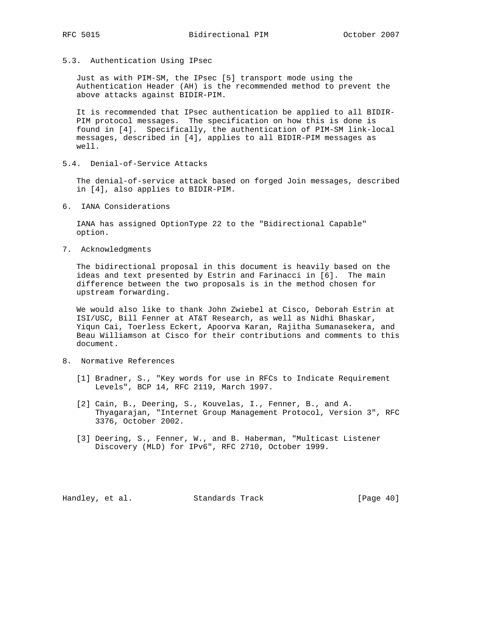5.3. Authentication Using IPsec

 Just as with PIM-SM, the IPsec [5] transport mode using the Authentication Header (AH) is the recommended method to prevent the above attacks against BIDIR-PIM.

 It is recommended that IPsec authentication be applied to all BIDIR- PIM protocol messages. The specification on how this is done is found in [4]. Specifically, the authentication of PIM-SM link-local messages, described in [4], applies to all BIDIR-PIM messages as well.

5.4. Denial-of-Service Attacks

 The denial-of-service attack based on forged Join messages, described in [4], also applies to BIDIR-PIM.

6. IANA Considerations

 IANA has assigned OptionType 22 to the "Bidirectional Capable" option.

7. Acknowledgments

 The bidirectional proposal in this document is heavily based on the ideas and text presented by Estrin and Farinacci in [6]. The main difference between the two proposals is in the method chosen for upstream forwarding.

 We would also like to thank John Zwiebel at Cisco, Deborah Estrin at ISI/USC, Bill Fenner at AT&T Research, as well as Nidhi Bhaskar, Yiqun Cai, Toerless Eckert, Apoorva Karan, Rajitha Sumanasekera, and Beau Williamson at Cisco for their contributions and comments to this document.

- 8. Normative References
	- [1] Bradner, S., "Key words for use in RFCs to Indicate Requirement Levels", BCP 14, RFC 2119, March 1997.
	- [2] Cain, B., Deering, S., Kouvelas, I., Fenner, B., and A. Thyagarajan, "Internet Group Management Protocol, Version 3", RFC 3376, October 2002.
	- [3] Deering, S., Fenner, W., and B. Haberman, "Multicast Listener Discovery (MLD) for IPv6", RFC 2710, October 1999.

Handley, et al. Standards Track [Page 40]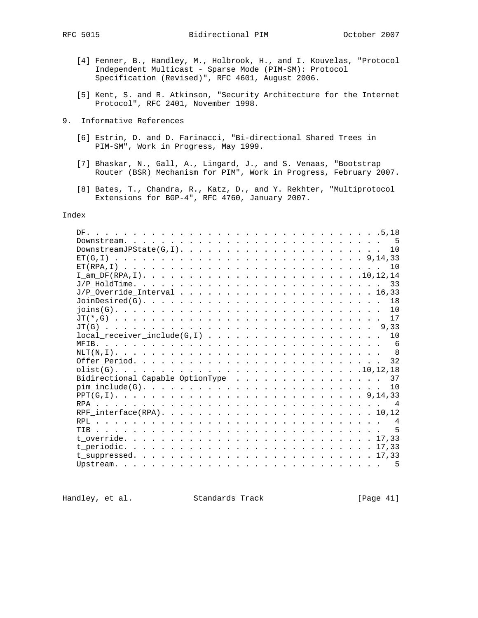- [4] Fenner, B., Handley, M., Holbrook, H., and I. Kouvelas, "Protocol Independent Multicast - Sparse Mode (PIM-SM): Protocol Specification (Revised)", RFC 4601, August 2006.
- [5] Kent, S. and R. Atkinson, "Security Architecture for the Internet Protocol", RFC 2401, November 1998.
- 9. Informative References
	- [6] Estrin, D. and D. Farinacci, "Bi-directional Shared Trees in PIM-SM", Work in Progress, May 1999.
	- [7] Bhaskar, N., Gall, A., Lingard, J., and S. Venaas, "Bootstrap Router (BSR) Mechanism for PIM", Work in Progress, February 2007.
	- [8] Bates, T., Chandra, R., Katz, D., and Y. Rekhter, "Multiprotocol Extensions for BGP-4", RFC 4760, January 2007.

### Index

| $local\_receiver\_include(G,I)$ 10                                                                             |  |  |  |  |  |  |  |  |  |  |  |  |  |  |
|----------------------------------------------------------------------------------------------------------------|--|--|--|--|--|--|--|--|--|--|--|--|--|--|
|                                                                                                                |  |  |  |  |  |  |  |  |  |  |  |  |  |  |
|                                                                                                                |  |  |  |  |  |  |  |  |  |  |  |  |  |  |
|                                                                                                                |  |  |  |  |  |  |  |  |  |  |  |  |  |  |
|                                                                                                                |  |  |  |  |  |  |  |  |  |  |  |  |  |  |
| Bidirectional Capable OptionType 37                                                                            |  |  |  |  |  |  |  |  |  |  |  |  |  |  |
| $\text{pim}\ \text{include}(\text{G})\text{.}\ \ldots\text{.}\ \ldots\text{.}\ \ldots\text{.}\ \ldots\text{.}$ |  |  |  |  |  |  |  |  |  |  |  |  |  |  |
|                                                                                                                |  |  |  |  |  |  |  |  |  |  |  |  |  |  |
|                                                                                                                |  |  |  |  |  |  |  |  |  |  |  |  |  |  |
|                                                                                                                |  |  |  |  |  |  |  |  |  |  |  |  |  |  |
|                                                                                                                |  |  |  |  |  |  |  |  |  |  |  |  |  |  |
|                                                                                                                |  |  |  |  |  |  |  |  |  |  |  |  |  |  |
|                                                                                                                |  |  |  |  |  |  |  |  |  |  |  |  |  |  |
|                                                                                                                |  |  |  |  |  |  |  |  |  |  |  |  |  |  |
|                                                                                                                |  |  |  |  |  |  |  |  |  |  |  |  |  |  |
|                                                                                                                |  |  |  |  |  |  |  |  |  |  |  |  |  |  |
|                                                                                                                |  |  |  |  |  |  |  |  |  |  |  |  |  |  |

Handley, et al. Standards Track [Page 41]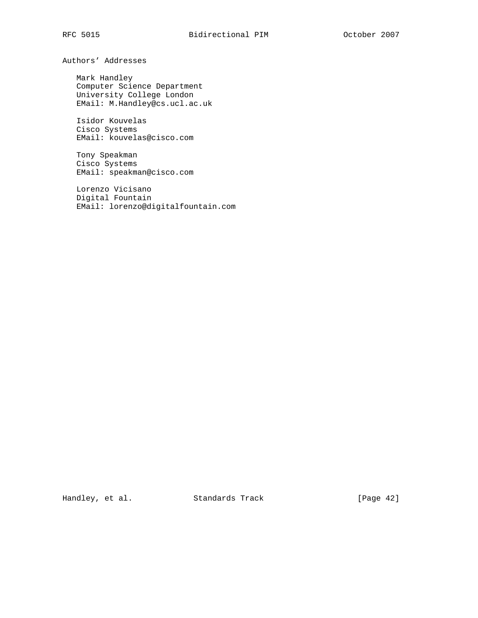Authors' Addresses

 Mark Handley Computer Science Department University College London EMail: M.Handley@cs.ucl.ac.uk

 Isidor Kouvelas Cisco Systems EMail: kouvelas@cisco.com

 Tony Speakman Cisco Systems EMail: speakman@cisco.com

 Lorenzo Vicisano Digital Fountain EMail: lorenzo@digitalfountain.com

Handley, et al. Standards Track [Page 42]